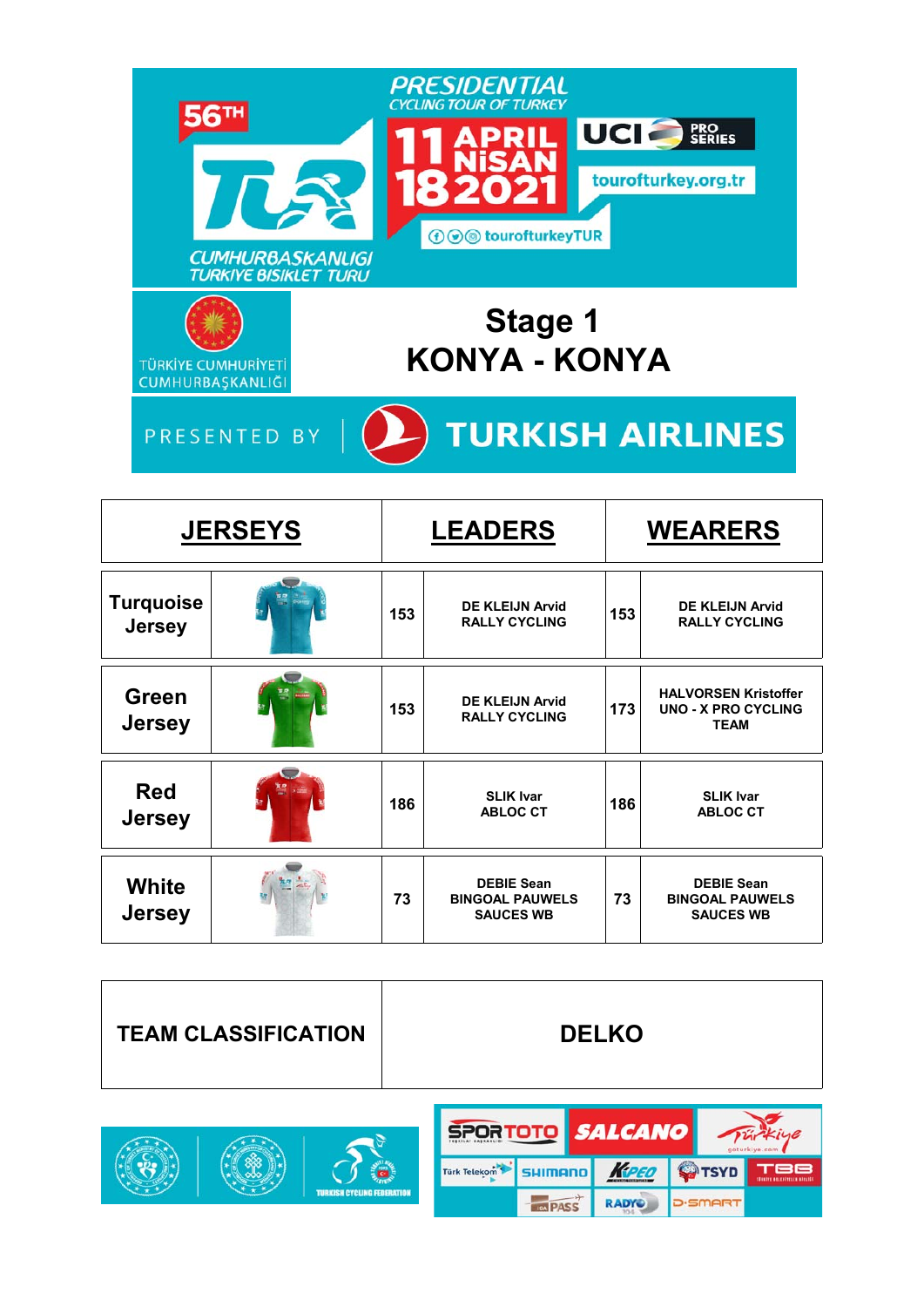

|                                   | <b>JERSEYS</b> |     | <b>LEADERS</b>                                                  |     | <b>WEARERS</b>                                                           |
|-----------------------------------|----------------|-----|-----------------------------------------------------------------|-----|--------------------------------------------------------------------------|
| <b>Turquoise</b><br><b>Jersey</b> |                | 153 | <b>DE KLEIJN Arvid</b><br><b>RALLY CYCLING</b>                  | 153 | <b>DE KLEIJN Arvid</b><br><b>RALLY CYCLING</b>                           |
| <b>Green</b><br><b>Jersey</b>     |                | 153 | <b>DE KLEIJN Arvid</b><br><b>RALLY CYCLING</b>                  | 173 | <b>HALVORSEN Kristoffer</b><br><b>UNO - X PRO CYCLING</b><br><b>TEAM</b> |
| <b>Red</b><br><b>Jersey</b>       |                | 186 | <b>SLIK Ivar</b><br><b>ABLOC CT</b>                             | 186 | <b>SLIK Ivar</b><br><b>ABLOC CT</b>                                      |
| White<br><b>Jersey</b>            |                | 73  | <b>DEBIE Sean</b><br><b>BINGOAL PAUWELS</b><br><b>SAUCES WB</b> | 73  | <b>DEBIE Sean</b><br><b>BINGOAL PAUWELS</b><br><b>SAUCES WB</b>          |

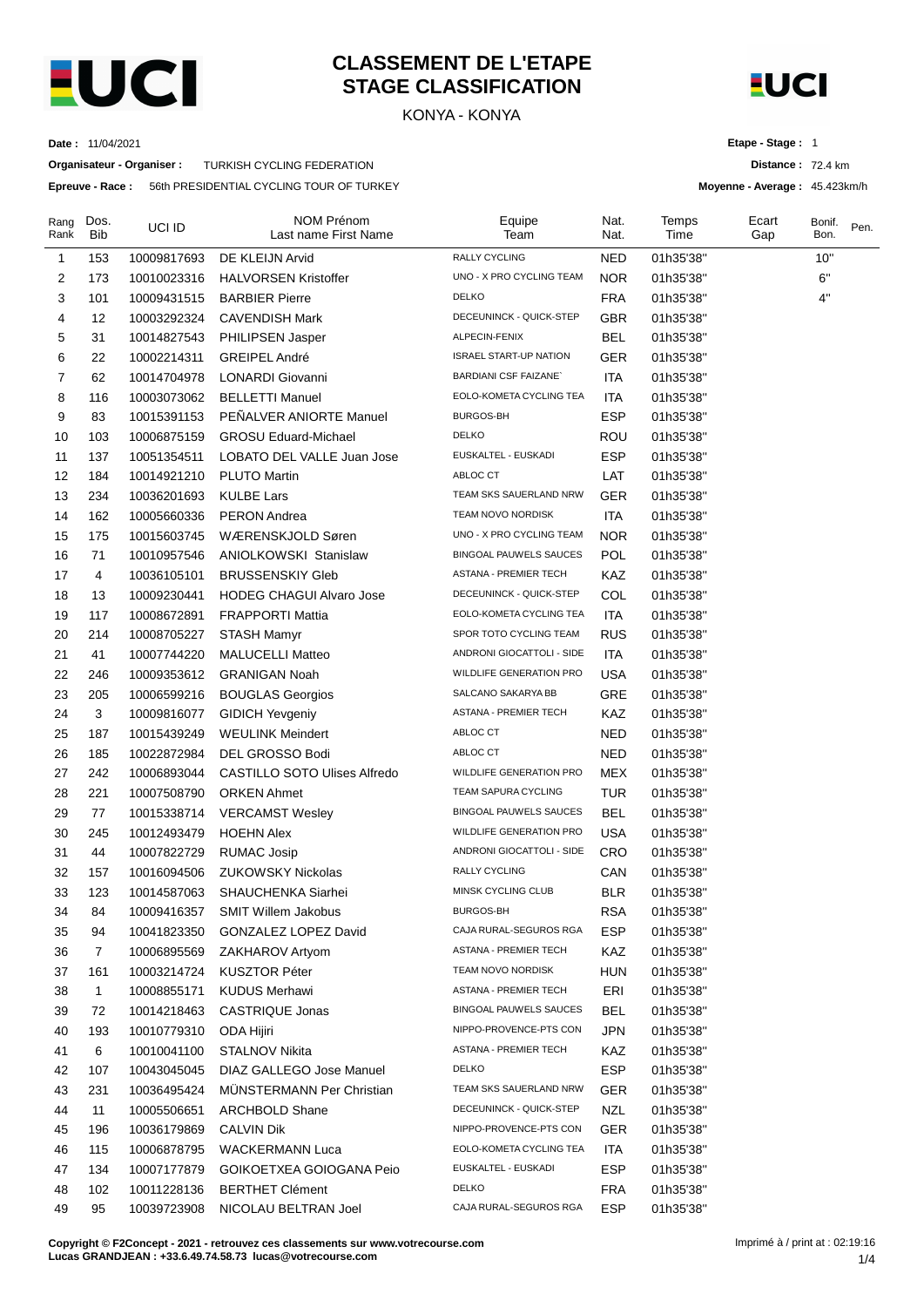

# **CLASSEMENT DE L'ETAPE STAGE CLASSIFICATION**

KONYA - KONYA



**Distance :** 72.4 km **Moyenne - Average :** 45.423km/h

**Etape - Stage :** 1

**Date :** 11/04/2021

**Organisateur - Organiser :** TURKISH CYCLING FEDERATION

**Epreuve - Race :** 56th PRESIDENTIAL CYCLING TOUR OF TURKEY

| Rang<br>Rank | Dos.<br><b>Bib</b> | UCI ID      | <b>NOM Prénom</b><br>Last name First Name | Equipe<br>Team                 | Nat.<br>Nat. | Temps<br>Time | Ecart<br>Gap | Bonif.<br>Bon. | Pen. |
|--------------|--------------------|-------------|-------------------------------------------|--------------------------------|--------------|---------------|--------------|----------------|------|
| 1            | 153                | 10009817693 | DE KLEIJN Arvid                           | <b>RALLY CYCLING</b>           | <b>NED</b>   | 01h35'38"     |              | 10"            |      |
| 2            | 173                | 10010023316 | <b>HALVORSEN Kristoffer</b>               | UNO - X PRO CYCLING TEAM       | <b>NOR</b>   | 01h35'38"     |              | 6"             |      |
| 3            | 101                | 10009431515 | <b>BARBIER Pierre</b>                     | <b>DELKO</b>                   | <b>FRA</b>   | 01h35'38"     |              | 4"             |      |
| 4            | 12                 | 10003292324 | <b>CAVENDISH Mark</b>                     | DECEUNINCK - QUICK-STEP        | GBR          | 01h35'38"     |              |                |      |
| 5            | 31                 | 10014827543 | <b>PHILIPSEN Jasper</b>                   | ALPECIN-FENIX                  | <b>BEL</b>   | 01h35'38"     |              |                |      |
| 6            | 22                 | 10002214311 | <b>GREIPEL André</b>                      | <b>ISRAEL START-UP NATION</b>  | <b>GER</b>   | 01h35'38"     |              |                |      |
| 7            | 62                 | 10014704978 | <b>LONARDI</b> Giovanni                   | <b>BARDIANI CSF FAIZANE</b>    | ITA          | 01h35'38"     |              |                |      |
| 8            | 116                | 10003073062 | <b>BELLETTI Manuel</b>                    | EOLO-KOMETA CYCLING TEA        | ITA          | 01h35'38"     |              |                |      |
| 9            | 83                 | 10015391153 | PEÑALVER ANIORTE Manuel                   | <b>BURGOS-BH</b>               | <b>ESP</b>   | 01h35'38"     |              |                |      |
| 10           | 103                | 10006875159 | <b>GROSU Eduard-Michael</b>               | <b>DELKO</b>                   | ROU          | 01h35'38"     |              |                |      |
| 11           | 137                | 10051354511 | LOBATO DEL VALLE Juan Jose                | EUSKALTEL - EUSKADI            | <b>ESP</b>   | 01h35'38"     |              |                |      |
| 12           | 184                | 10014921210 | <b>PLUTO Martin</b>                       | ABLOC CT                       | LAT          | 01h35'38"     |              |                |      |
| 13           | 234                | 10036201693 | <b>KULBE Lars</b>                         | TEAM SKS SAUERLAND NRW         | <b>GER</b>   | 01h35'38"     |              |                |      |
| 14           | 162                | 10005660336 | <b>PERON</b> Andrea                       | TEAM NOVO NORDISK              | ITA          | 01h35'38"     |              |                |      |
| 15           | 175                | 10015603745 | WÆRENSKJOLD Søren                         | UNO - X PRO CYCLING TEAM       | NOR.         | 01h35'38"     |              |                |      |
| 16           | 71                 | 10010957546 | ANIOLKOWSKI Stanislaw                     | <b>BINGOAL PAUWELS SAUCES</b>  | <b>POL</b>   | 01h35'38"     |              |                |      |
| 17           | 4                  | 10036105101 | <b>BRUSSENSKIY Gleb</b>                   | ASTANA - PREMIER TECH          | KAZ          | 01h35'38"     |              |                |      |
| 18           | 13                 | 10009230441 | <b>HODEG CHAGUI Alvaro Jose</b>           | DECEUNINCK - QUICK-STEP        | COL          | 01h35'38"     |              |                |      |
| 19           | 117                | 10008672891 | <b>FRAPPORTI Mattia</b>                   | EOLO-KOMETA CYCLING TEA        | ITA          | 01h35'38"     |              |                |      |
| 20           | 214                | 10008705227 | STASH Mamyr                               | SPOR TOTO CYCLING TEAM         | <b>RUS</b>   | 01h35'38"     |              |                |      |
| 21           | 41                 | 10007744220 | <b>MALUCELLI Matteo</b>                   | ANDRONI GIOCATTOLI - SIDE      | <b>ITA</b>   | 01h35'38"     |              |                |      |
| 22           | 246                | 10009353612 | <b>GRANIGAN Noah</b>                      | WILDLIFE GENERATION PRO        | USA          | 01h35'38"     |              |                |      |
| 23           | 205                | 10006599216 | <b>BOUGLAS Georgios</b>                   | SALCANO SAKARYA BB             | GRE          | 01h35'38"     |              |                |      |
| 24           | 3                  | 10009816077 | <b>GIDICH Yevgeniy</b>                    | ASTANA - PREMIER TECH          | KAZ          | 01h35'38"     |              |                |      |
| 25           | 187                | 10015439249 | <b>WEULINK Meindert</b>                   | ABLOC CT                       | <b>NED</b>   | 01h35'38"     |              |                |      |
| 26           | 185                | 10022872984 | DEL GROSSO Bodi                           | ABLOC CT                       | <b>NED</b>   | 01h35'38"     |              |                |      |
| 27           | 242                | 10006893044 | <b>CASTILLO SOTO Ulises Alfredo</b>       | WILDLIFE GENERATION PRO        | <b>MEX</b>   | 01h35'38"     |              |                |      |
| 28           | 221                | 10007508790 | <b>ORKEN Ahmet</b>                        | TEAM SAPURA CYCLING            | <b>TUR</b>   | 01h35'38"     |              |                |      |
| 29           | 77                 | 10015338714 | <b>VERCAMST Wesley</b>                    | <b>BINGOAL PAUWELS SAUCES</b>  | <b>BEL</b>   | 01h35'38"     |              |                |      |
| 30           | 245                | 10012493479 | <b>HOEHN Alex</b>                         | <b>WILDLIFE GENERATION PRO</b> | USA          | 01h35'38"     |              |                |      |
| 31           | 44                 | 10007822729 | <b>RUMAC Josip</b>                        | ANDRONI GIOCATTOLI - SIDE      | <b>CRO</b>   | 01h35'38"     |              |                |      |
| 32           | 157                | 10016094506 | <b>ZUKOWSKY Nickolas</b>                  | RALLY CYCLING                  | CAN          | 01h35'38"     |              |                |      |
| 33           | 123                | 10014587063 | SHAUCHENKA Siarhei                        | MINSK CYCLING CLUB             | <b>BLR</b>   | 01h35'38"     |              |                |      |
| 34           | 84                 | 10009416357 | <b>SMIT Willem Jakobus</b>                | BURGOS-BH                      | RSA          | 01h35'38"     |              |                |      |
| 35           | 94                 | 10041823350 | GONZALEZ LOPEZ David                      | CAJA RURAL-SEGUROS RGA         | <b>ESP</b>   | 01h35'38"     |              |                |      |
| 36           | $\overline{7}$     | 10006895569 | ZAKHAROV Artyom                           | <b>ASTANA - PREMIER TECH</b>   | KAZ          | 01h35'38"     |              |                |      |
| 37           | 161                | 10003214724 | <b>KUSZTOR Péter</b>                      | TEAM NOVO NORDISK              | <b>HUN</b>   | 01h35'38"     |              |                |      |
| 38           | $\mathbf{1}$       | 10008855171 | <b>KUDUS Merhawi</b>                      | ASTANA - PREMIER TECH          | ERI          | 01h35'38"     |              |                |      |
| 39           | 72                 | 10014218463 | CASTRIQUE Jonas                           | <b>BINGOAL PAUWELS SAUCES</b>  | <b>BEL</b>   | 01h35'38"     |              |                |      |
| 40           | 193                | 10010779310 | ODA Hijiri                                | NIPPO-PROVENCE-PTS CON         | <b>JPN</b>   | 01h35'38"     |              |                |      |
| 41           | 6                  | 10010041100 | STALNOV Nikita                            | <b>ASTANA - PREMIER TECH</b>   | KAZ          | 01h35'38"     |              |                |      |
| 42           | 107                | 10043045045 | DIAZ GALLEGO Jose Manuel                  | <b>DELKO</b>                   | <b>ESP</b>   | 01h35'38"     |              |                |      |
| 43           | 231                | 10036495424 | <b>MUNSTERMANN Per Christian</b>          | TEAM SKS SAUERLAND NRW         | GER          | 01h35'38"     |              |                |      |
| 44           | 11                 | 10005506651 | <b>ARCHBOLD Shane</b>                     | DECEUNINCK - QUICK-STEP        | <b>NZL</b>   | 01h35'38"     |              |                |      |
| 45           | 196                | 10036179869 | <b>CALVIN Dik</b>                         | NIPPO-PROVENCE-PTS CON         | <b>GER</b>   | 01h35'38"     |              |                |      |
| 46           | 115                | 10006878795 | <b>WACKERMANN Luca</b>                    | EOLO-KOMETA CYCLING TEA        | ITA          | 01h35'38"     |              |                |      |
| 47           | 134                | 10007177879 | GOIKOETXEA GOIOGANA Peio                  | EUSKALTEL - EUSKADI            | <b>ESP</b>   | 01h35'38"     |              |                |      |
| 48           | 102                | 10011228136 | <b>BERTHET Clément</b>                    | <b>DELKO</b>                   | <b>FRA</b>   | 01h35'38"     |              |                |      |
| 49           | 95                 | 10039723908 | NICOLAU BELTRAN Joel                      | CAJA RURAL-SEGUROS RGA         | <b>ESP</b>   | 01h35'38"     |              |                |      |

**Copyright © F2Concept - 2021 - retrouvez ces classements sur www.votrecourse.com Lucas GRANDJEAN : +33.6.49.74.58.73 lucas@votrecourse.com**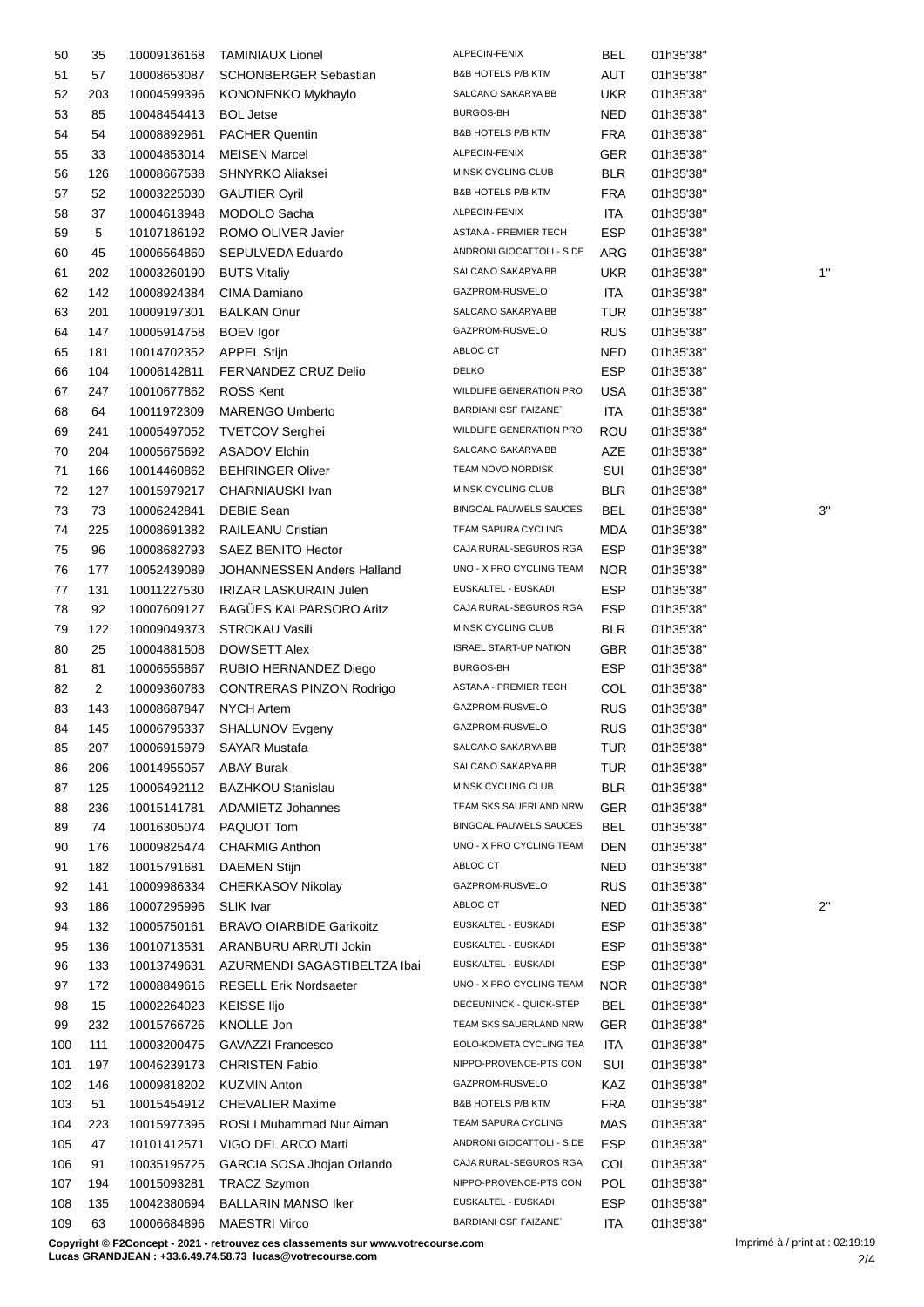| 50  | 35             | 10009136168 | <b>TAMINIAUX Lionel</b>         | ALPECIN-FENIX                  | <b>BEL</b> | 01h35'38" |              |
|-----|----------------|-------------|---------------------------------|--------------------------------|------------|-----------|--------------|
| 51  | 57             | 10008653087 | <b>SCHONBERGER Sebastian</b>    | B&B HOTELS P/B KTM             | AUT        | 01h35'38" |              |
| 52  | 203            | 10004599396 | KONONENKO Mykhaylo              | SALCANO SAKARYA BB             | UKR.       | 01h35'38" |              |
| 53  | 85             | 10048454413 | <b>BOL Jetse</b>                | BURGOS-BH                      | <b>NED</b> | 01h35'38" |              |
| 54  | 54             | 10008892961 | PACHER Quentin                  | <b>B&amp;B HOTELS P/B KTM</b>  | <b>FRA</b> | 01h35'38" |              |
| 55  | 33             | 10004853014 | <b>MEISEN Marcel</b>            | ALPECIN-FENIX                  | GER        | 01h35'38" |              |
| 56  | 126            | 10008667538 | SHNYRKO Aliaksei                | MINSK CYCLING CLUB             | <b>BLR</b> | 01h35'38" |              |
| 57  | 52             | 10003225030 | <b>GAUTIER Cyril</b>            | B&B HOTELS P/B KTM             | <b>FRA</b> | 01h35'38" |              |
| 58  | 37             | 10004613948 | MODOLO Sacha                    | ALPECIN-FENIX                  | ITA        | 01h35'38" |              |
| 59  | 5              | 10107186192 | ROMO OLIVER Javier              | ASTANA - PREMIER TECH          | <b>ESP</b> | 01h35'38" |              |
| 60  | 45             | 10006564860 | SEPULVEDA Eduardo               | ANDRONI GIOCATTOLI - SIDE      | ARG        | 01h35'38" |              |
| 61  | 202            | 10003260190 | <b>BUTS Vitaliy</b>             | SALCANO SAKARYA BB             | <b>UKR</b> | 01h35'38" | 1'           |
| 62  | 142            | 10008924384 | CIMA Damiano                    | GAZPROM-RUSVELO                | ITA        | 01h35'38" |              |
| 63  | 201            | 10009197301 | <b>BALKAN Onur</b>              | SALCANO SAKARYA BB             | TUR        | 01h35'38" |              |
| 64  | 147            | 10005914758 | <b>BOEV</b> Igor                | GAZPROM-RUSVELO                | <b>RUS</b> | 01h35'38" |              |
|     | 181            |             | <b>APPEL Stijn</b>              | ABLOC CT                       | NED        |           |              |
| 65  |                | 10014702352 |                                 | <b>DELKO</b>                   | <b>ESP</b> | 01h35'38" |              |
| 66  | 104            | 10006142811 | FERNANDEZ CRUZ Delio            | WILDLIFE GENERATION PRO        |            | 01h35'38" |              |
| 67  | 247            | 10010677862 | <b>ROSS Kent</b>                |                                | <b>USA</b> | 01h35'38" |              |
| 68  | 64             | 10011972309 | <b>MARENGO Umberto</b>          | <b>BARDIANI CSF FAIZANE</b>    | <b>ITA</b> | 01h35'38" |              |
| 69  | 241            | 10005497052 | <b>TVETCOV Serghei</b>          | <b>WILDLIFE GENERATION PRO</b> | ROU        | 01h35'38" |              |
| 70  | 204            | 10005675692 | <b>ASADOV Elchin</b>            | SALCANO SAKARYA BB             | AZE        | 01h35'38" |              |
| 71  | 166            | 10014460862 | <b>BEHRINGER Oliver</b>         | TEAM NOVO NORDISK              | SUI        | 01h35'38" |              |
| 72  | 127            | 10015979217 | CHARNIAUSKI Ivan                | MINSK CYCLING CLUB             | <b>BLR</b> | 01h35'38" |              |
| 73  | 73             | 10006242841 | <b>DEBIE Sean</b>               | <b>BINGOAL PAUWELS SAUCES</b>  | BEL        | 01h35'38" | 3'           |
| 74  | 225            | 10008691382 | RAILEANU Cristian               | TEAM SAPURA CYCLING            | <b>MDA</b> | 01h35'38" |              |
| 75  | 96             | 10008682793 | SAEZ BENITO Hector              | CAJA RURAL-SEGUROS RGA         | <b>ESP</b> | 01h35'38" |              |
| 76  | 177            | 10052439089 | JOHANNESSEN Anders Halland      | UNO - X PRO CYCLING TEAM       | NOR.       | 01h35'38" |              |
| 77  | 131            | 10011227530 | IRIZAR LASKURAIN Julen          | EUSKALTEL - EUSKADI            | <b>ESP</b> | 01h35'38" |              |
| 78  | 92             | 10007609127 | <b>BAGÜES KALPARSORO Aritz</b>  | CAJA RURAL-SEGUROS RGA         | <b>ESP</b> | 01h35'38" |              |
| 79  | 122            | 10009049373 | STROKAU Vasili                  | MINSK CYCLING CLUB             | <b>BLR</b> | 01h35'38" |              |
| 80  | 25             | 10004881508 | <b>DOWSETT Alex</b>             | <b>ISRAEL START-UP NATION</b>  | <b>GBR</b> | 01h35'38" |              |
| 81  | 81             | 10006555867 | RUBIO HERNANDEZ Diego           | BURGOS-BH                      | <b>ESP</b> | 01h35'38" |              |
| 82  | $\overline{2}$ | 10009360783 | <b>CONTRERAS PINZON Rodrigo</b> | ASTANA - PREMIER TECH          | COL        | 01h35'38" |              |
| 83  | 143            | 10008687847 | <b>NYCH Artem</b>               | GAZPROM-RUSVELO                | <b>RUS</b> | 01h35'38" |              |
| 84  | 145            |             | 10006795337 SHALUNOV Evgeny     | GAZPROM-RUSVELO                | <b>RUS</b> | 01h35'38" |              |
| 85  | 207            | 10006915979 | <b>SAYAR Mustafa</b>            | SALCANO SAKARYA BB             | <b>TUR</b> | 01h35'38" |              |
| 86  | 206            | 10014955057 | <b>ABAY Burak</b>               | SALCANO SAKARYA BB             | <b>TUR</b> | 01h35'38" |              |
| 87  | 125            | 10006492112 | <b>BAZHKOU Stanislau</b>        | MINSK CYCLING CLUB             | <b>BLR</b> | 01h35'38" |              |
| 88  | 236            | 10015141781 | <b>ADAMIETZ Johannes</b>        | TEAM SKS SAUERLAND NRW         | <b>GER</b> | 01h35'38" |              |
| 89  | 74             | 10016305074 | PAQUOT Tom                      | BINGOAL PAUWELS SAUCES         | <b>BEL</b> | 01h35'38" |              |
| 90  | 176            | 10009825474 | <b>CHARMIG Anthon</b>           | UNO - X PRO CYCLING TEAM       | DEN        | 01h35'38" |              |
| 91  | 182            | 10015791681 | <b>DAEMEN Stijn</b>             | ABLOC CT                       | NED        | 01h35'38" |              |
| 92  | 141            | 10009986334 | CHERKASOV Nikolay               | GAZPROM-RUSVELO                | <b>RUS</b> | 01h35'38" |              |
| 93  | 186            | 10007295996 | <b>SLIK Ivar</b>                | ABLOC CT                       | <b>NED</b> | 01h35'38" | $2^{\prime}$ |
|     | 132            | 10005750161 | <b>BRAVO OIARBIDE Garikoitz</b> | EUSKALTEL - EUSKADI            | <b>ESP</b> | 01h35'38" |              |
| 94  |                |             |                                 | EUSKALTEL - EUSKADI            |            |           |              |
| 95  | 136            | 10010713531 | ARANBURU ARRUTI Jokin           |                                | <b>ESP</b> | 01h35'38" |              |
| 96  | 133            | 10013749631 | AZURMENDI SAGASTIBELTZA Ibai    | EUSKALTEL - EUSKADI            | <b>ESP</b> | 01h35'38" |              |
| 97  | 172            | 10008849616 | <b>RESELL Erik Nordsaeter</b>   | UNO - X PRO CYCLING TEAM       | <b>NOR</b> | 01h35'38" |              |
| 98  | 15             | 10002264023 | KEISSE IIjo                     | DECEUNINCK - QUICK-STEP        | <b>BEL</b> | 01h35'38" |              |
| 99  | 232            | 10015766726 | KNOLLE Jon                      | TEAM SKS SAUERLAND NRW         | GER        | 01h35'38" |              |
| 100 | 111            | 10003200475 | GAVAZZI Francesco               | EOLO-KOMETA CYCLING TEA        | ITA        | 01h35'38" |              |
| 101 | 197            | 10046239173 | <b>CHRISTEN Fabio</b>           | NIPPO-PROVENCE-PTS CON         | SUI        | 01h35'38" |              |
| 102 | 146            | 10009818202 | <b>KUZMIN Anton</b>             | GAZPROM-RUSVELO                | KAZ        | 01h35'38" |              |
| 103 | 51             | 10015454912 | <b>CHEVALIER Maxime</b>         | B&B HOTELS P/B KTM             | <b>FRA</b> | 01h35'38" |              |
| 104 | 223            | 10015977395 | ROSLI Muhammad Nur Aiman        | TEAM SAPURA CYCLING            | MAS        | 01h35'38" |              |
| 105 | 47             | 10101412571 | VIGO DEL ARCO Marti             | ANDRONI GIOCATTOLI - SIDE      | <b>ESP</b> | 01h35'38" |              |
| 106 | 91             | 10035195725 | GARCIA SOSA Jhojan Orlando      | CAJA RURAL-SEGUROS RGA         | COL        | 01h35'38" |              |
| 107 | 194            | 10015093281 | <b>TRACZ Szymon</b>             | NIPPO-PROVENCE-PTS CON         | <b>POL</b> | 01h35'38" |              |
| 108 | 135            | 10042380694 | <b>BALLARIN MANSO Iker</b>      | EUSKALTEL - EUSKADI            | <b>ESP</b> | 01h35'38" |              |
| 109 | 63             | 10006684896 | <b>MAESTRI Mirco</b>            | <b>BARDIANI CSF FAIZANE</b>    | <b>ITA</b> | 01h35'38" |              |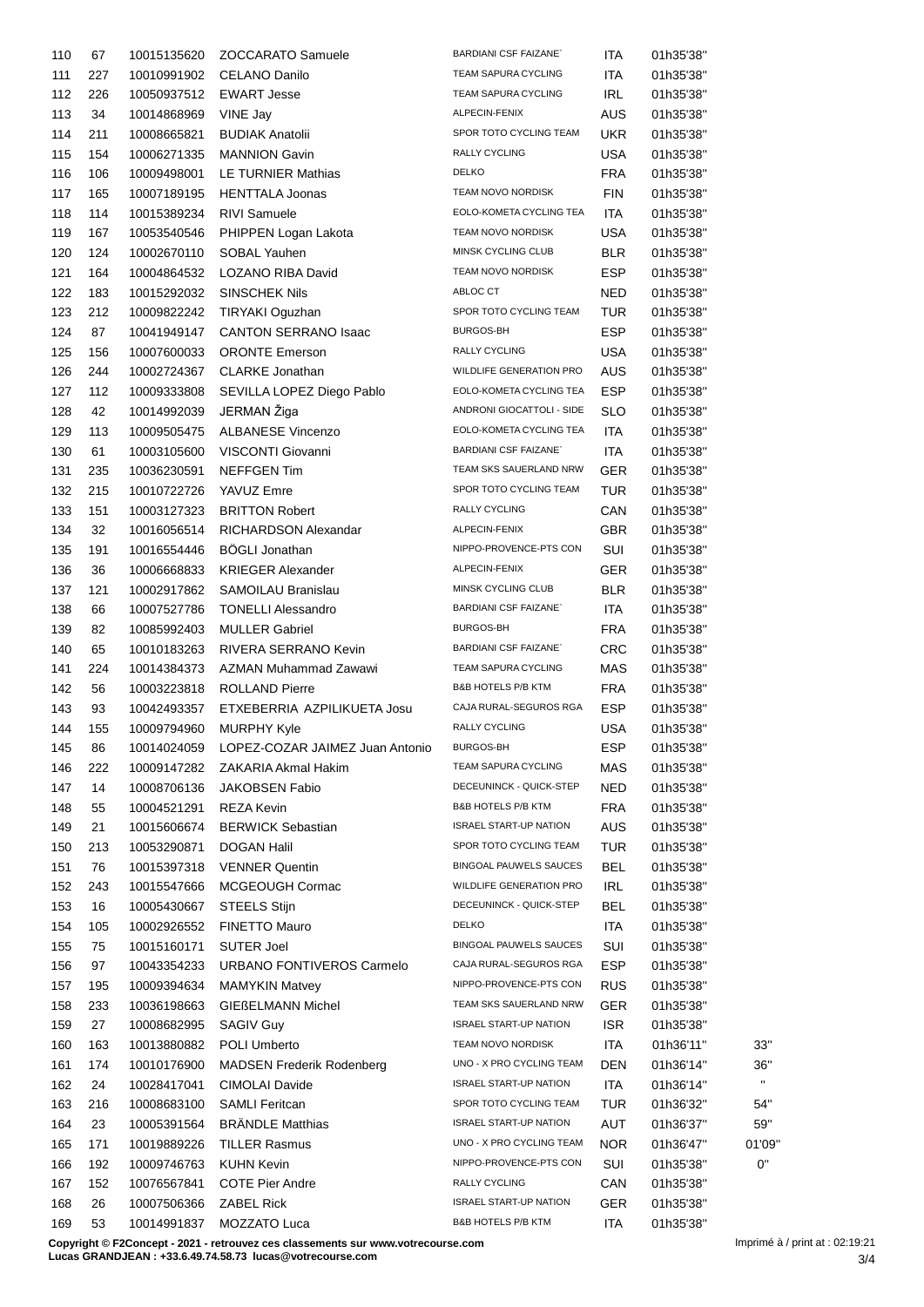| 110 | 67  | 10015135620                | ZOCCARATO Samuele                           | <b>BARDIANI CSF FAIZANE</b>   | ITA        | 01h35'38" |              |
|-----|-----|----------------------------|---------------------------------------------|-------------------------------|------------|-----------|--------------|
| 111 | 227 | 10010991902                | <b>CELANO Danilo</b>                        | TEAM SAPURA CYCLING           | ITA        | 01h35'38" |              |
| 112 | 226 | 10050937512                | <b>EWART Jesse</b>                          | TEAM SAPURA CYCLING           | <b>IRL</b> | 01h35'38" |              |
| 113 | 34  | 10014868969                | VINE Jay                                    | ALPECIN-FENIX                 | <b>AUS</b> | 01h35'38" |              |
| 114 | 211 | 10008665821                | <b>BUDIAK Anatolii</b>                      | SPOR TOTO CYCLING TEAM        | <b>UKR</b> | 01h35'38" |              |
| 115 | 154 | 10006271335                | <b>MANNION Gavin</b>                        | <b>RALLY CYCLING</b>          | USA        | 01h35'38" |              |
| 116 | 106 | 10009498001                | LE TURNIER Mathias                          | <b>DELKO</b>                  | FRA        | 01h35'38" |              |
| 117 | 165 | 10007189195                | <b>HENTTALA Joonas</b>                      | TEAM NOVO NORDISK             | FIN        | 01h35'38" |              |
| 118 | 114 | 10015389234                | <b>RIVI Samuele</b>                         | EOLO-KOMETA CYCLING TEA       | ITA        | 01h35'38" |              |
| 119 | 167 | 10053540546                | PHIPPEN Logan Lakota                        | TEAM NOVO NORDISK             | USA        | 01h35'38" |              |
| 120 | 124 | 10002670110                | SOBAL Yauhen                                | MINSK CYCLING CLUB            | BLR        | 01h35'38" |              |
| 121 | 164 |                            | LOZANO RIBA David                           | TEAM NOVO NORDISK             | <b>ESP</b> | 01h35'38" |              |
| 122 |     | 10004864532                |                                             | ABLOC CT                      | <b>NED</b> |           |              |
|     | 183 | 10015292032<br>10009822242 | <b>SINSCHEK Nils</b>                        | SPOR TOTO CYCLING TEAM        |            | 01h35'38" |              |
| 123 | 212 |                            | TIRYAKI Oguzhan                             | BURGOS-BH                     | <b>TUR</b> | 01h35'38" |              |
| 124 | 87  | 10041949147                | CANTON SERRANO Isaac                        |                               | <b>ESP</b> | 01h35'38" |              |
| 125 | 156 | 10007600033                | <b>ORONTE Emerson</b>                       | RALLY CYCLING                 | <b>USA</b> | 01h35'38" |              |
| 126 | 244 | 10002724367                | <b>CLARKE Jonathan</b>                      | WILDLIFE GENERATION PRO       | AUS.       | 01h35'38" |              |
| 127 | 112 | 10009333808                | SEVILLA LOPEZ Diego Pablo                   | EOLO-KOMETA CYCLING TEA       | <b>ESP</b> | 01h35'38" |              |
| 128 | 42  | 10014992039                | JERMAN Žiga                                 | ANDRONI GIOCATTOLI - SIDE     | SLO        | 01h35'38" |              |
| 129 | 113 | 10009505475                | <b>ALBANESE Vincenzo</b>                    | EOLO-KOMETA CYCLING TEA       | ITA        | 01h35'38" |              |
| 130 | 61  | 10003105600                | VISCONTI Giovanni                           | <b>BARDIANI CSF FAIZANE</b>   | ITA        | 01h35'38" |              |
| 131 | 235 | 10036230591                | <b>NEFFGEN Tim</b>                          | TEAM SKS SAUERLAND NRW        | <b>GER</b> | 01h35'38" |              |
| 132 | 215 | 10010722726                | YAVUZ Emre                                  | SPOR TOTO CYCLING TEAM        | TUR        | 01h35'38" |              |
| 133 | 151 | 10003127323                | <b>BRITTON Robert</b>                       | RALLY CYCLING                 | CAN        | 01h35'38" |              |
| 134 | 32  | 10016056514                | RICHARDSON Alexandar                        | ALPECIN-FENIX                 | <b>GBR</b> | 01h35'38" |              |
| 135 | 191 | 10016554446                | <b>BÖGLI Jonathan</b>                       | NIPPO-PROVENCE-PTS CON        | SUI        | 01h35'38" |              |
| 136 | 36  | 10006668833                | <b>KRIEGER Alexander</b>                    | ALPECIN-FENIX                 | <b>GER</b> | 01h35'38" |              |
| 137 | 121 | 10002917862                | SAMOILAU Branislau                          | MINSK CYCLING CLUB            | BLR        | 01h35'38" |              |
| 138 | 66  | 10007527786                | <b>TONELLI Alessandro</b>                   | <b>BARDIANI CSF FAIZANE</b>   | ITA        | 01h35'38" |              |
| 139 | 82  | 10085992403                | <b>MULLER Gabriel</b>                       | <b>BURGOS-BH</b>              | <b>FRA</b> | 01h35'38" |              |
| 140 | 65  | 10010183263                | RIVERA SERRANO Kevin                        | <b>BARDIANI CSF FAIZANE</b>   | <b>CRC</b> | 01h35'38" |              |
| 141 | 224 | 10014384373                | AZMAN Muhammad Zawawi                       | TEAM SAPURA CYCLING           | <b>MAS</b> | 01h35'38" |              |
| 142 | 56  | 10003223818                | <b>ROLLAND Pierre</b>                       | <b>B&amp;B HOTELS P/B KTM</b> | FRA        | 01h35'38" |              |
| 143 | 93  | 10042493357                | ETXEBERRIA AZPILIKUETA Josu                 | CAJA RURAL-SEGUROS RGA        | <b>ESP</b> | 01h35'38" |              |
| 144 | 155 | 10009794960                | <b>MURPHY Kyle</b>                          | RALLY CYCLING                 | USA        | 01h35'38" |              |
| 145 | 86  |                            | 10014024059 LOPEZ-COZAR JAIMEZ Juan Antonio | BURGOS-BH                     | <b>ESP</b> | 01h35'38" |              |
| 146 | 222 |                            | 10009147282 ZAKARIA Akmal Hakim             | TEAM SAPURA CYCLING           | MAS        | 01h35'38" |              |
| 147 | 14  | 10008706136                | <b>JAKOBSEN Fabio</b>                       | DECEUNINCK - QUICK-STEP       | <b>NED</b> | 01h35'38" |              |
| 148 | 55  | 10004521291                | <b>REZA Kevin</b>                           | <b>B&amp;B HOTELS P/B KTM</b> | FRA        | 01h35'38" |              |
| 149 | 21  | 10015606674                | <b>BERWICK Sebastian</b>                    | <b>ISRAEL START-UP NATION</b> | AUS        | 01h35'38" |              |
|     |     |                            | <b>DOGAN Halil</b>                          | SPOR TOTO CYCLING TEAM        |            |           |              |
| 150 | 213 | 10053290871                |                                             | <b>BINGOAL PAUWELS SAUCES</b> | <b>TUR</b> | 01h35'38" |              |
| 151 | 76  | 10015397318                | <b>VENNER Quentin</b>                       | WILDLIFE GENERATION PRO       | <b>BEL</b> | 01h35'38" |              |
| 152 | 243 | 10015547666                | MCGEOUGH Cormac                             | DECEUNINCK - QUICK-STEP       | <b>IRL</b> | 01h35'38" |              |
| 153 | 16  | 10005430667                | STEELS Stijn                                |                               | BEL        | 01h35'38" |              |
| 154 | 105 | 10002926552                | FINETTO Mauro                               | <b>DELKO</b>                  | <b>ITA</b> | 01h35'38" |              |
| 155 | 75  | 10015160171                | <b>SUTER Joel</b>                           | BINGOAL PAUWELS SAUCES        | SUI        | 01h35'38" |              |
| 156 | 97  | 10043354233                | URBANO FONTIVEROS Carmelo                   | CAJA RURAL-SEGUROS RGA        | <b>ESP</b> | 01h35'38" |              |
| 157 | 195 | 10009394634                | <b>MAMYKIN Matvey</b>                       | NIPPO-PROVENCE-PTS CON        | <b>RUS</b> | 01h35'38" |              |
| 158 | 233 | 10036198663                | <b>GIEßELMANN Michel</b>                    | TEAM SKS SAUERLAND NRW        | <b>GER</b> | 01h35'38" |              |
| 159 | 27  | 10008682995                | <b>SAGIV Guy</b>                            | <b>ISRAEL START-UP NATION</b> | <b>ISR</b> | 01h35'38" |              |
| 160 | 163 | 10013880882                | POLI Umberto                                | TEAM NOVO NORDISK             | <b>ITA</b> | 01h36'11" | 33"          |
| 161 | 174 | 10010176900                | <b>MADSEN Frederik Rodenberg</b>            | UNO - X PRO CYCLING TEAM      | DEN        | 01h36'14" | 36"          |
| 162 | 24  | 10028417041                | CIMOLAI Davide                              | <b>ISRAEL START-UP NATION</b> | ITA        | 01h36'14" | $\mathbf{H}$ |
| 163 | 216 | 10008683100                | <b>SAMLI Feritcan</b>                       | SPOR TOTO CYCLING TEAM        | <b>TUR</b> | 01h36'32" | 54"          |
| 164 | 23  | 10005391564                | <b>BRÄNDLE Matthias</b>                     | <b>ISRAEL START-UP NATION</b> | AUT        | 01h36'37" | 59"          |
| 165 | 171 | 10019889226                | <b>TILLER Rasmus</b>                        | UNO - X PRO CYCLING TEAM      | NOR        | 01h36'47" | 01'09'       |
| 166 | 192 | 10009746763                | <b>KUHN Kevin</b>                           | NIPPO-PROVENCE-PTS CON        | SUI        | 01h35'38" | 0"           |
| 167 | 152 | 10076567841                | <b>COTE Pier Andre</b>                      | RALLY CYCLING                 | CAN        | 01h35'38" |              |
| 168 | 26  | 10007506366                | <b>ZABEL Rick</b>                           | <b>ISRAEL START-UP NATION</b> | <b>GER</b> | 01h35'38" |              |
| 169 | 53  | 10014991837                | MOZZATO Luca                                | <b>B&amp;B HOTELS P/B KTM</b> | <b>ITA</b> | 01h35'38" |              |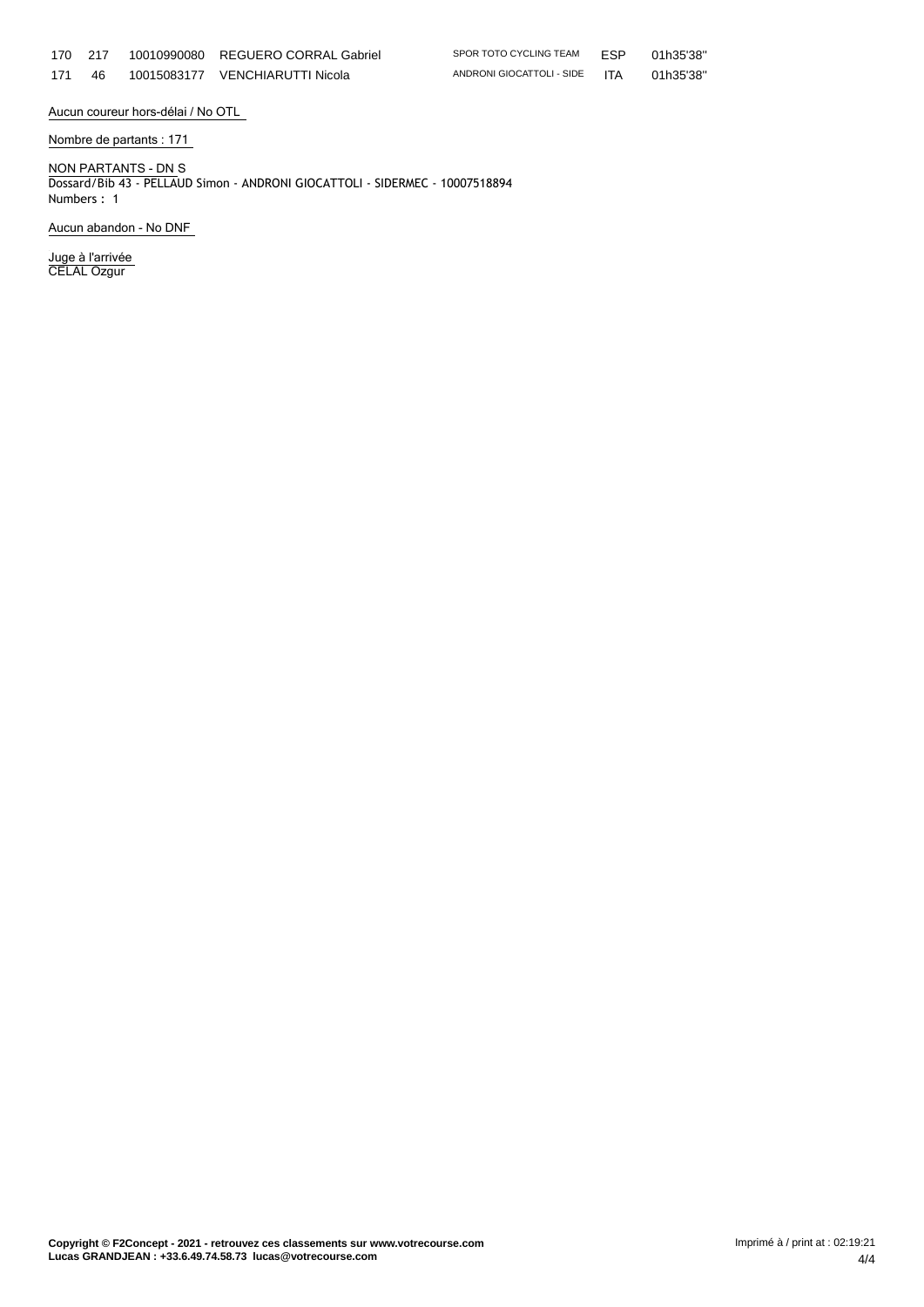|     | 170 217 | 10010990080 REGUERO CORRAL Gabriel | SPOR TOTO CYCLING TEAM FSP    | 01h35'38" |
|-----|---------|------------------------------------|-------------------------------|-----------|
| 171 | 46      | 10015083177 VENCHIARUTTI Nicola    | ANDRONI GIOCATTOLI - SIDE ITA | 01h35'38" |

 $G$  TEAM  $E$ SP 01h35'38"

**Aucun coureur hors-délai / No OTL**

**Nombre de partants : 171**

**NON PARTANTS - DN** S Dossard/Bib 43 - PELLAUD Simon - ANDRONI GIOCATTOLI - SIDERMEC - 10007518894 Numbers : 1

**Aucun abandon - No DNF**

**Juge à l'arrivée** CELAL Ozgur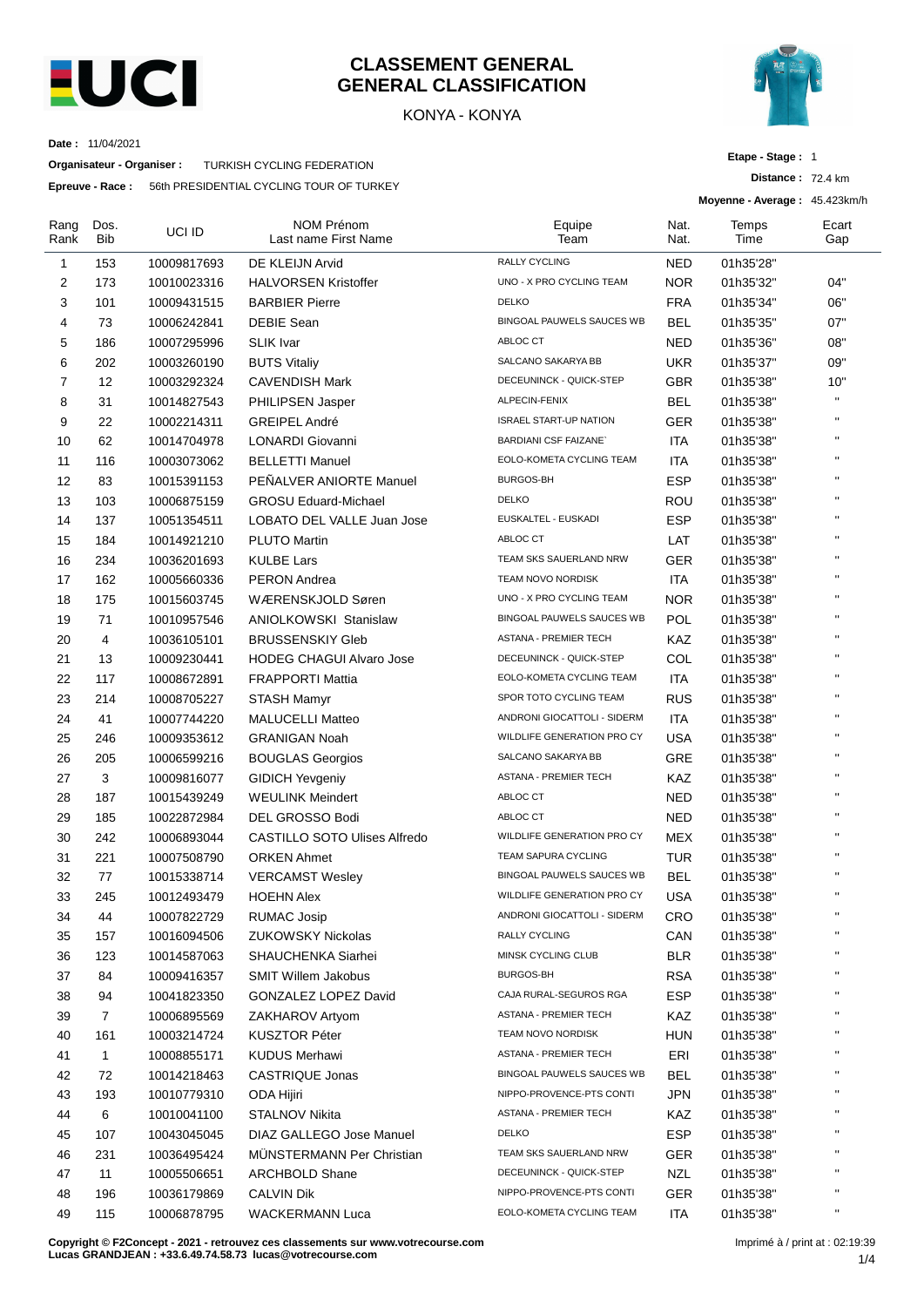

## **CLASSEMENT GENERAL GENERAL CLASSIFICATION**

KONYA - KONYA



**Distance :** 72.4 km

**Etape - Stage :** 1

**Moyenne - Average :** 45.423km/h

**Date :** 11/04/2021

**Organisateur - Organiser :** TURKISH CYCLING FEDERATION

**Epreuve - Race :** 56th PRESIDENTIAL CYCLING TOUR OF TURKEY

| Rang<br>Rank | Dos.<br>Bib  | UCI ID      | <b>NOM Prénom</b><br>Last name First Name | Equipe<br>Team                   | Nat.<br>Nat. | Temps<br>Time | Ecart<br>Gap |
|--------------|--------------|-------------|-------------------------------------------|----------------------------------|--------------|---------------|--------------|
| 1            | 153          | 10009817693 | DE KLEIJN Arvid                           | <b>RALLY CYCLING</b>             | <b>NED</b>   | 01h35'28"     |              |
| 2            | 173          | 10010023316 | <b>HALVORSEN Kristoffer</b>               | UNO - X PRO CYCLING TEAM         | <b>NOR</b>   | 01h35'32"     | 04"          |
| 3            | 101          | 10009431515 | <b>BARBIER Pierre</b>                     | <b>DELKO</b>                     | <b>FRA</b>   | 01h35'34"     | 06"          |
| 4            | 73           | 10006242841 | DEBIE Sean                                | BINGOAL PAUWELS SAUCES WB        | BEL          | 01h35'35"     | 07"          |
| 5            | 186          | 10007295996 | <b>SLIK</b> Ivar                          | ABLOC CT                         | <b>NED</b>   | 01h35'36"     | 08"          |
| 6            | 202          | 10003260190 | <b>BUTS Vitaliy</b>                       | SALCANO SAKARYA BB               | <b>UKR</b>   | 01h35'37"     | 09"          |
| 7            | 12           | 10003292324 | <b>CAVENDISH Mark</b>                     | DECEUNINCK - QUICK-STEP          | <b>GBR</b>   | 01h35'38"     | 10"          |
| 8            | 31           | 10014827543 | PHILIPSEN Jasper                          | ALPECIN-FENIX                    | <b>BEL</b>   | 01h35'38"     | H.           |
| 9            | 22           | 10002214311 | GREIPEL André                             | <b>ISRAEL START-UP NATION</b>    | <b>GER</b>   | 01h35'38"     | $\mathbf{H}$ |
| 10           | 62           | 10014704978 | LONARDI Giovanni                          | <b>BARDIANI CSF FAIZANE</b>      | <b>ITA</b>   | 01h35'38"     | H.           |
| 11           | 116          | 10003073062 | <b>BELLETTI Manuel</b>                    | EOLO-KOMETA CYCLING TEAM         | ITA          | 01h35'38"     | H.           |
| 12           | 83           | 10015391153 | PEÑALVER ANIORTE Manuel                   | <b>BURGOS-BH</b>                 | <b>ESP</b>   | 01h35'38"     | $\mathbf{H}$ |
| 13           | 103          | 10006875159 | <b>GROSU Eduard-Michael</b>               | <b>DELKO</b>                     | ROU          | 01h35'38"     | H.           |
| 14           | 137          | 10051354511 | LOBATO DEL VALLE Juan Jose                | EUSKALTEL - EUSKADI              | <b>ESP</b>   | 01h35'38"     | $\mathbf{u}$ |
| 15           | 184          | 10014921210 | <b>PLUTO Martin</b>                       | ABLOC CT                         | LAT          | 01h35'38"     | Ĥ.           |
| 16           | 234          | 10036201693 | <b>KULBE Lars</b>                         | TEAM SKS SAUERLAND NRW           | <b>GER</b>   | 01h35'38"     | $\mathbf{H}$ |
| 17           | 162          | 10005660336 | <b>PERON Andrea</b>                       | TEAM NOVO NORDISK                | ITA          | 01h35'38"     | $\mathbf{H}$ |
| 18           | 175          | 10015603745 | WÆRENSKJOLD Søren                         | UNO - X PRO CYCLING TEAM         | <b>NOR</b>   | 01h35'38"     | H.           |
| 19           | 71           | 10010957546 | <b>ANIOLKOWSKI Stanislaw</b>              | BINGOAL PAUWELS SAUCES WB        | <b>POL</b>   | 01h35'38"     | $\mathbf{H}$ |
| 20           | 4            | 10036105101 | <b>BRUSSENSKIY Gleb</b>                   | ASTANA - PREMIER TECH            | KAZ          | 01h35'38"     | H.           |
| 21           | 13           | 10009230441 | <b>HODEG CHAGUI Alvaro Jose</b>           | DECEUNINCK - QUICK-STEP          | COL          | 01h35'38"     | H.           |
| 22           | 117          | 10008672891 | <b>FRAPPORTI Mattia</b>                   | EOLO-KOMETA CYCLING TEAM         | ITA          | 01h35'38"     | $\mathbf{H}$ |
| 23           | 214          | 10008705227 | <b>STASH Mamyr</b>                        | SPOR TOTO CYCLING TEAM           | <b>RUS</b>   | 01h35'38"     | $\mathbf{H}$ |
| 24           | 41           | 10007744220 | <b>MALUCELLI Matteo</b>                   | ANDRONI GIOCATTOLI - SIDERM      | <b>ITA</b>   | 01h35'38"     | $\mathbf{H}$ |
| 25           | 246          | 10009353612 | <b>GRANIGAN Noah</b>                      | WILDLIFE GENERATION PRO CY       | <b>USA</b>   | 01h35'38"     | $\mathbf{H}$ |
| 26           | 205          | 10006599216 | <b>BOUGLAS Georgios</b>                   | SALCANO SAKARYA BB               | GRE          | 01h35'38"     | H.           |
| 27           | 3            | 10009816077 | <b>GIDICH Yevgeniy</b>                    | <b>ASTANA - PREMIER TECH</b>     | KAZ          | 01h35'38"     | $\mathbf{H}$ |
| 28           | 187          | 10015439249 | <b>WEULINK Meindert</b>                   | ABLOC CT                         | <b>NED</b>   | 01h35'38"     | H.           |
| 29           | 185          | 10022872984 | DEL GROSSO Bodi                           | ABLOC CT                         | <b>NED</b>   | 01h35'38"     | H.           |
| 30           | 242          | 10006893044 | <b>CASTILLO SOTO Ulises Alfredo</b>       | WILDLIFE GENERATION PRO CY       | MEX          | 01h35'38"     | $\mathbf{u}$ |
| 31           | 221          |             | <b>ORKEN Ahmet</b>                        | <b>TEAM SAPURA CYCLING</b>       | TUR          | 01h35'38"     | $\mathbf{H}$ |
|              |              | 10007508790 |                                           | <b>BINGOAL PAUWELS SAUCES WB</b> |              |               | $\mathbf{H}$ |
| 32           | 77           | 10015338714 | <b>VERCAMST Wesley</b>                    | WILDLIFE GENERATION PRO CY       | BEL          | 01h35'38"     | $\mathbf{H}$ |
| 33           | 245          | 10012493479 | <b>HOEHN Alex</b>                         | ANDRONI GIOCATTOLI - SIDERM      | <b>USA</b>   | 01h35'38"     |              |
| 34           | 44           | 10007822729 | <b>RUMAC Josip</b>                        | RALLY CYCLING                    | CRO          | 01h35'38"     | H,           |
| 35           | 157          | 10016094506 | <b>ZUKOWSKY Nickolas</b>                  | MINSK CYCLING CLUB               | CAN          | 01h35'38"     |              |
| 36           | 123          | 10014587063 | SHAUCHENKA Siarhei                        |                                  | <b>BLR</b>   | 01h35'38"     |              |
| 37           | 84           | 10009416357 | <b>SMIT Willem Jakobus</b>                | <b>BURGOS-BH</b>                 | <b>RSA</b>   | 01h35'38"     |              |
| 38           | 94           | 10041823350 | GONZALEZ LOPEZ David                      | CAJA RURAL-SEGUROS RGA           | <b>ESP</b>   | 01h35'38"     |              |
| 39           | 7            | 10006895569 | ZAKHAROV Artyom                           | ASTANA - PREMIER TECH            | KAZ          | 01h35'38"     | п            |
| 40           | 161          | 10003214724 | <b>KUSZTOR Péter</b>                      | TEAM NOVO NORDISK                | <b>HUN</b>   | 01h35'38"     |              |
| 41           | $\mathbf{1}$ | 10008855171 | <b>KUDUS Merhawi</b>                      | ASTANA - PREMIER TECH            | ERI          | 01h35'38"     | Ħ            |
| 42           | 72           | 10014218463 | CASTRIQUE Jonas                           | BINGOAL PAUWELS SAUCES WB        | BEL          | 01h35'38"     |              |
| 43           | 193          | 10010779310 | ODA Hijiri                                | NIPPO-PROVENCE-PTS CONTI         | <b>JPN</b>   | 01h35'38"     |              |
| 44           | 6            | 10010041100 | STALNOV Nikita                            | ASTANA - PREMIER TECH            | KAZ          | 01h35'38"     |              |
| 45           | 107          | 10043045045 | DIAZ GALLEGO Jose Manuel                  | <b>DELKO</b>                     | <b>ESP</b>   | 01h35'38"     | н.           |
| 46           | 231          | 10036495424 | <b>MUNSTERMANN Per Christian</b>          | TEAM SKS SAUERLAND NRW           | <b>GER</b>   | 01h35'38"     |              |
| 47           | 11           | 10005506651 | <b>ARCHBOLD Shane</b>                     | DECEUNINCK - QUICK-STEP          | <b>NZL</b>   | 01h35'38"     |              |
| 48           | 196          | 10036179869 | <b>CALVIN Dik</b>                         | NIPPO-PROVENCE-PTS CONTI         | <b>GER</b>   | 01h35'38"     | Ħ            |
| 49           | 115          | 10006878795 | <b>WACKERMANN Luca</b>                    | EOLO-KOMETA CYCLING TEAM         | ITA          | 01h35'38"     | н.           |

**Copyright © F2Concept - 2021 - retrouvez ces classements sur www.votrecourse.com Lucas GRANDJEAN : +33.6.49.74.58.73 lucas@votrecourse.com**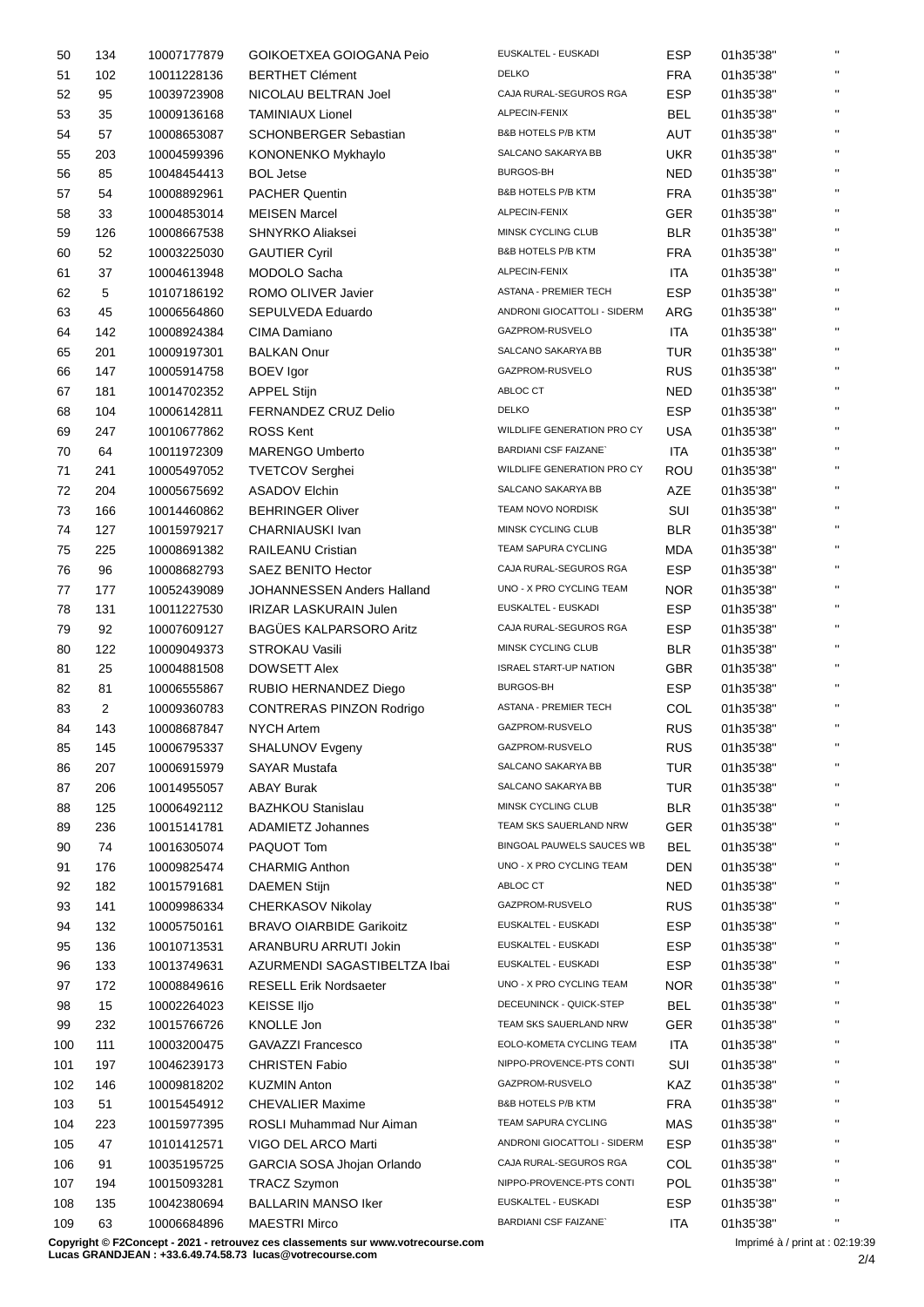| 50  | 134 | 10007177879 | GOIKOETXEA GOIOGANA Peio        | EUSKALTEL - EUSKADI               | <b>ESP</b> | 01h35'38" | $\mathbf{H}$   |
|-----|-----|-------------|---------------------------------|-----------------------------------|------------|-----------|----------------|
| 51  | 102 | 10011228136 | <b>BERTHET Clément</b>          | <b>DELKO</b>                      | FRA        | 01h35'38" | $\mathbf{H}$   |
| 52  | 95  | 10039723908 | NICOLAU BELTRAN Joel            | CAJA RURAL-SEGUROS RGA            | <b>ESP</b> | 01h35'38" | $\mathbf{H}$   |
| 53  | 35  | 10009136168 | <b>TAMINIAUX Lionel</b>         | ALPECIN-FENIX                     | <b>BEL</b> | 01h35'38" | $\mathbf{H}$   |
| 54  | 57  | 10008653087 | SCHONBERGER Sebastian           | <b>B&amp;B HOTELS P/B KTM</b>     | AUT        | 01h35'38" | $\mathbf{H}$   |
| 55  | 203 | 10004599396 | KONONENKO Mykhaylo              | SALCANO SAKARYA BB                | <b>UKR</b> | 01h35'38" | $\mathbf{H}$   |
| 56  | 85  | 10048454413 | <b>BOL Jetse</b>                | <b>BURGOS-BH</b>                  | <b>NED</b> | 01h35'38" | $\mathbf{H}$ . |
| 57  | 54  | 10008892961 | <b>PACHER Quentin</b>           | B&B HOTELS P/B KTM                | <b>FRA</b> | 01h35'38" | $\mathbf{H}$   |
| 58  | 33  | 10004853014 | <b>MEISEN Marcel</b>            | ALPECIN-FENIX                     | GER        | 01h35'38" | $\mathbf{H}$   |
| 59  | 126 | 10008667538 | <b>SHNYRKO Aliaksei</b>         | MINSK CYCLING CLUB                | <b>BLR</b> | 01h35'38" | $\mathbf{H}$   |
| 60  | 52  | 10003225030 | <b>GAUTIER Cyril</b>            | <b>B&amp;B HOTELS P/B KTM</b>     | <b>FRA</b> | 01h35'38" | $\mathbf{H}$   |
| 61  | 37  | 10004613948 | MODOLO Sacha                    | ALPECIN-FENIX                     | ITA        | 01h35'38" | $\mathbf{H}$   |
| 62  | 5   | 10107186192 | ROMO OLIVER Javier              | ASTANA - PREMIER TECH             | <b>ESP</b> | 01h35'38" | $\mathbf{H}$   |
| 63  | 45  | 10006564860 | SEPULVEDA Eduardo               | ANDRONI GIOCATTOLI - SIDERM       | ARG        | 01h35'38" | $\mathbf{H}$   |
|     | 142 |             | CIMA Damiano                    | GAZPROM-RUSVELO                   | ITA        | 01h35'38" | $\mathbf{H}$   |
| 64  |     | 10008924384 | <b>BALKAN Onur</b>              | SALCANO SAKARYA BB                |            |           | $\mathbf{H}$   |
| 65  | 201 | 10009197301 |                                 | GAZPROM-RUSVELO                   | TUR        | 01h35'38" | $\mathbf{H}$   |
| 66  | 147 | 10005914758 | <b>BOEV</b> Igor                |                                   | <b>RUS</b> | 01h35'38" | $\mathbf{H}$   |
| 67  | 181 | 10014702352 | <b>APPEL Stijn</b>              | ABLOC CT                          | NED        | 01h35'38" | $\mathbf{H}$   |
| 68  | 104 | 10006142811 | FERNANDEZ CRUZ Delio            | <b>DELKO</b>                      | <b>ESP</b> | 01h35'38" | $\mathbf{H}$   |
| 69  | 247 | 10010677862 | <b>ROSS Kent</b>                | <b>WILDLIFE GENERATION PRO CY</b> | <b>USA</b> | 01h35'38" |                |
| 70  | 64  | 10011972309 | <b>MARENGO Umberto</b>          | <b>BARDIANI CSF FAIZANE</b>       | ITA        | 01h35'38" | $\mathbf{H}$   |
| 71  | 241 | 10005497052 | <b>TVETCOV Serghei</b>          | WILDLIFE GENERATION PRO CY        | <b>ROU</b> | 01h35'38" | $\mathbf{H}$   |
| 72  | 204 | 10005675692 | <b>ASADOV Elchin</b>            | SALCANO SAKARYA BB                | AZE        | 01h35'38" | $\mathbf{H}$   |
| 73  | 166 | 10014460862 | <b>BEHRINGER Oliver</b>         | TEAM NOVO NORDISK                 | SUI        | 01h35'38" | $\mathbf{H}$   |
| 74  | 127 | 10015979217 | CHARNIAUSKI Ivan                | MINSK CYCLING CLUB                | <b>BLR</b> | 01h35'38" | $\mathbf{H}$   |
| 75  | 225 | 10008691382 | <b>RAILEANU Cristian</b>        | TEAM SAPURA CYCLING               | <b>MDA</b> | 01h35'38" | $\mathbf{H}$   |
| 76  | 96  | 10008682793 | SAEZ BENITO Hector              | CAJA RURAL-SEGUROS RGA            | <b>ESP</b> | 01h35'38" | $\mathbf{H}$   |
| 77  | 177 | 10052439089 | JOHANNESSEN Anders Halland      | UNO - X PRO CYCLING TEAM          | <b>NOR</b> | 01h35'38" | $\mathbf{H}$   |
| 78  | 131 | 10011227530 | <b>IRIZAR LASKURAIN Julen</b>   | EUSKALTEL - EUSKADI               | <b>ESP</b> | 01h35'38" | $\mathbf{H}$   |
| 79  | 92  | 10007609127 | <b>BAGÜES KALPARSORO Aritz</b>  | CAJA RURAL-SEGUROS RGA            | <b>ESP</b> | 01h35'38" | $\mathbf{H}$   |
| 80  | 122 | 10009049373 | <b>STROKAU Vasili</b>           | MINSK CYCLING CLUB                | <b>BLR</b> | 01h35'38" | $\mathbf{H}$   |
| 81  | 25  | 10004881508 | <b>DOWSETT Alex</b>             | <b>ISRAEL START-UP NATION</b>     | <b>GBR</b> | 01h35'38" | $\mathbf{H}$   |
| 82  | 81  | 10006555867 | RUBIO HERNANDEZ Diego           | BURGOS-BH                         | <b>ESP</b> | 01h35'38" | $\mathbf{H}$   |
| 83  | 2   | 10009360783 | <b>CONTRERAS PINZON Rodrigo</b> | ASTANA - PREMIER TECH             | COL        | 01h35'38" | $\mathbf{H}$ . |
| 84  | 143 | 10008687847 | <b>NYCH Artem</b>               | GAZPROM-RUSVELO                   | <b>RUS</b> | 01h35'38" | $\mathbf{H}$   |
| 85  | 145 | 10006795337 | SHALUNOV Evgeny                 | GAZPROM-RUSVELO                   | <b>RUS</b> | 01h35'38" |                |
| 86  | 207 | 10006915979 | SAYAR Mustafa                   | SALCANO SAKARYA BB                | <b>TUR</b> | 01h35'38" | $\mathbf{H}$   |
| 87  | 206 | 10014955057 | <b>ABAY Burak</b>               | SALCANO SAKARYA BB                | <b>TUR</b> | 01h35'38" | $\mathbf{H}$   |
| 88  | 125 | 10006492112 | <b>BAZHKOU Stanislau</b>        | MINSK CYCLING CLUB                | <b>BLR</b> | 01h35'38" | $\mathbf{H}$   |
| 89  | 236 | 10015141781 | <b>ADAMIETZ Johannes</b>        | TEAM SKS SAUERLAND NRW            | <b>GER</b> | 01h35'38" | $\mathbf{H}$   |
| 90  | 74  | 10016305074 | PAQUOT Tom                      | BINGOAL PAUWELS SAUCES WB         | <b>BEL</b> | 01h35'38" | $\mathbf{H}$   |
| 91  | 176 | 10009825474 | CHARMIG Anthon                  | UNO - X PRO CYCLING TEAM          | DEN        | 01h35'38" | $\mathbf{H}$   |
| 92  | 182 | 10015791681 | <b>DAEMEN Stijn</b>             | ABLOC CT                          | <b>NED</b> | 01h35'38" | $\mathbf{H}$   |
| 93  | 141 | 10009986334 | CHERKASOV Nikolay               | GAZPROM-RUSVELO                   | <b>RUS</b> | 01h35'38" | $\mathbf{H}$   |
| 94  | 132 | 10005750161 | <b>BRAVO OIARBIDE Garikoitz</b> | EUSKALTEL - EUSKADI               | <b>ESP</b> | 01h35'38" | $\mathbf{H}$   |
|     | 136 |             | ARANBURU ARRUTI Jokin           | EUSKALTEL - EUSKADI               | <b>ESP</b> |           | $\mathbf{H}$   |
| 95  |     | 10010713531 |                                 | EUSKALTEL - EUSKADI               |            | 01h35'38" |                |
| 96  | 133 | 10013749631 | AZURMENDI SAGASTIBELTZA Ibai    | UNO - X PRO CYCLING TEAM          | <b>ESP</b> | 01h35'38" | $\mathbf{H}$   |
| 97  | 172 | 10008849616 | <b>RESELL Erik Nordsaeter</b>   |                                   | <b>NOR</b> | 01h35'38" | $\mathbf{H}$   |
| 98  | 15  | 10002264023 | <b>KEISSE IIjo</b>              | DECEUNINCK - QUICK-STEP           | <b>BEL</b> | 01h35'38" | $\mathbf{H}$   |
| 99  | 232 | 10015766726 | KNOLLE Jon                      | TEAM SKS SAUERLAND NRW            | <b>GER</b> | 01h35'38" | $\mathbf{H}$   |
| 100 | 111 | 10003200475 | <b>GAVAZZI Francesco</b>        | EOLO-KOMETA CYCLING TEAM          | ITA        | 01h35'38" |                |
| 101 | 197 | 10046239173 | <b>CHRISTEN Fabio</b>           | NIPPO-PROVENCE-PTS CONTI          | SUI        | 01h35'38" | $\mathbf{H}$   |
| 102 | 146 | 10009818202 | <b>KUZMIN Anton</b>             | GAZPROM-RUSVELO                   | KAZ        | 01h35'38" | $\mathbf{H}$   |
| 103 | 51  | 10015454912 | <b>CHEVALIER Maxime</b>         | B&B HOTELS P/B KTM                | <b>FRA</b> | 01h35'38" | $\mathbf{H}$   |
| 104 | 223 | 10015977395 | ROSLI Muhammad Nur Aiman        | TEAM SAPURA CYCLING               | <b>MAS</b> | 01h35'38" | $\mathbf{H}$   |
| 105 | 47  | 10101412571 | VIGO DEL ARCO Marti             | ANDRONI GIOCATTOLI - SIDERM       | <b>ESP</b> | 01h35'38" | $\mathbf{H}$   |
| 106 | 91  | 10035195725 | GARCIA SOSA Jhojan Orlando      | CAJA RURAL-SEGUROS RGA            | COL        | 01h35'38" | $\mathbf{H}$   |
| 107 | 194 | 10015093281 | <b>TRACZ Szymon</b>             | NIPPO-PROVENCE-PTS CONTI          | <b>POL</b> | 01h35'38" | $\mathbf{H}$   |
| 108 | 135 | 10042380694 | <b>BALLARIN MANSO Iker</b>      | EUSKALTEL - EUSKADI               | <b>ESP</b> | 01h35'38" | $\mathbf{H}$   |
| 109 | 63  | 10006684896 | <b>MAESTRI Mirco</b>            | BARDIANI CSF FAIZANE`             | <b>ITA</b> | 01h35'38" | $\mathbf{H}$   |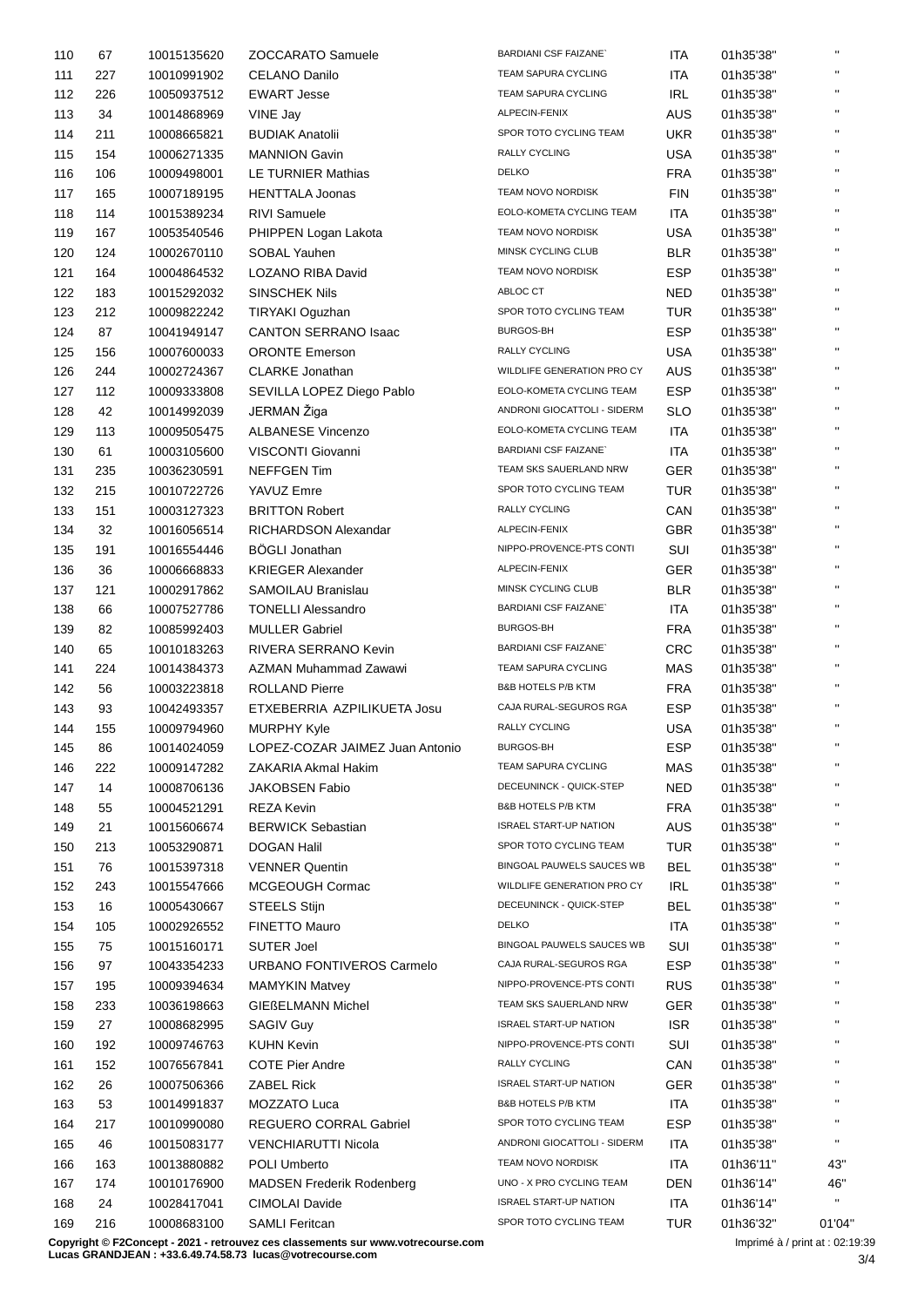| 110        | 67        | 10015135620 | <b>ZOCCARATO Samuele</b>                        | <b>BARDIANI CSF FAIZANE</b>   | <b>ITA</b> | 01h35'38" | $\mathbf{H}$   |
|------------|-----------|-------------|-------------------------------------------------|-------------------------------|------------|-----------|----------------|
| 111        | 227       | 10010991902 | <b>CELANO Danilo</b>                            | <b>TEAM SAPURA CYCLING</b>    | ITA        | 01h35'38" | $\mathbf{H}$   |
| 112        | 226       | 10050937512 | <b>EWART Jesse</b>                              | TEAM SAPURA CYCLING           | <b>IRL</b> | 01h35'38" | $\mathbf{H}$   |
| 113        | 34        | 10014868969 | VINE Jay                                        | ALPECIN-FENIX                 | <b>AUS</b> | 01h35'38" | $\mathbf{H}$   |
| 114        | 211       | 10008665821 | <b>BUDIAK Anatolii</b>                          | SPOR TOTO CYCLING TEAM        | <b>UKR</b> | 01h35'38" | $\mathbf{H}$   |
| 115        | 154       | 10006271335 | <b>MANNION Gavin</b>                            | RALLY CYCLING                 | <b>USA</b> | 01h35'38" | $\mathbf{H}$   |
| 116        | 106       | 10009498001 | LE TURNIER Mathias                              | <b>DELKO</b>                  | <b>FRA</b> | 01h35'38" | $\mathbf{H}$   |
| 117        | 165       | 10007189195 | <b>HENTTALA Joonas</b>                          | TEAM NOVO NORDISK             | <b>FIN</b> | 01h35'38" | $\mathbf{H}$   |
| 118        | 114       | 10015389234 | <b>RIVI Samuele</b>                             | EOLO-KOMETA CYCLING TEAM      | <b>ITA</b> | 01h35'38" | $\mathbf{H}$   |
| 119        | 167       | 10053540546 | PHIPPEN Logan Lakota                            | <b>TEAM NOVO NORDISK</b>      | <b>USA</b> | 01h35'38" | $\mathbf{H}$   |
| 120        | 124       | 10002670110 | SOBAL Yauhen                                    | MINSK CYCLING CLUB            | <b>BLR</b> | 01h35'38" | $\mathbf{H}$   |
| 121        | 164       | 10004864532 | LOZANO RIBA David                               | TEAM NOVO NORDISK             | <b>ESP</b> | 01h35'38" | $\mathbf{H}$   |
| 122        | 183       | 10015292032 | <b>SINSCHEK Nils</b>                            | ABLOC CT                      | <b>NED</b> | 01h35'38" | $\mathbf{H}$   |
| 123        | 212       | 10009822242 | TIRYAKI Oguzhan                                 | SPOR TOTO CYCLING TEAM        | <b>TUR</b> | 01h35'38" | $\mathbf{H}$   |
| 124        | 87        | 10041949147 | <b>CANTON SERRANO Isaac</b>                     | <b>BURGOS-BH</b>              | <b>ESP</b> |           | $\mathbf{H}$   |
|            |           |             |                                                 | RALLY CYCLING                 |            | 01h35'38" | $\mathbf{H}$   |
| 125        | 156       | 10007600033 | <b>ORONTE Emerson</b><br><b>CLARKE Jonathan</b> | WILDLIFE GENERATION PRO CY    | <b>USA</b> | 01h35'38" | $\mathbf{H}$   |
| 126        | 244       | 10002724367 |                                                 |                               | <b>AUS</b> | 01h35'38" | $\mathbf{H}$   |
| 127        | 112       | 10009333808 | SEVILLA LOPEZ Diego Pablo                       | EOLO-KOMETA CYCLING TEAM      | <b>ESP</b> | 01h35'38" | $\mathbf{H}$   |
| 128        | 42        | 10014992039 | JERMAN Žiga                                     | ANDRONI GIOCATTOLI - SIDERM   | <b>SLO</b> | 01h35'38" | $\mathbf{H}$   |
| 129        | 113       | 10009505475 | <b>ALBANESE Vincenzo</b>                        | EOLO-KOMETA CYCLING TEAM      | <b>ITA</b> | 01h35'38" |                |
| 130        | 61        | 10003105600 | VISCONTI Giovanni                               | <b>BARDIANI CSF FAIZANE</b>   | <b>ITA</b> | 01h35'38" | $\mathbf{H}$   |
| 131        | 235       | 10036230591 | <b>NEFFGEN Tim</b>                              | TEAM SKS SAUERLAND NRW        | <b>GER</b> | 01h35'38" | $\mathbf{H}$   |
| 132        | 215       | 10010722726 | YAVUZ Emre                                      | SPOR TOTO CYCLING TEAM        | TUR        | 01h35'38" | $\mathbf{H}$   |
| 133        | 151       | 10003127323 | <b>BRITTON Robert</b>                           | RALLY CYCLING                 | CAN        | 01h35'38" | $\mathbf{H}$   |
| 134        | 32        | 10016056514 | RICHARDSON Alexandar                            | ALPECIN-FENIX                 | <b>GBR</b> | 01h35'38" | $\mathbf{H}$   |
| 135        | 191       | 10016554446 | <b>BOGLI Jonathan</b>                           | NIPPO-PROVENCE-PTS CONTI      | SUI        | 01h35'38" | $\mathbf{H}$   |
| 136        | 36        | 10006668833 | <b>KRIEGER Alexander</b>                        | ALPECIN-FENIX                 | <b>GER</b> | 01h35'38" | $\mathbf{H}$   |
| 137        | 121       | 10002917862 | SAMOILAU Branislau                              | MINSK CYCLING CLUB            | <b>BLR</b> | 01h35'38" | $\mathbf{H}$   |
| 138        | 66        | 10007527786 | <b>TONELLI Alessandro</b>                       | <b>BARDIANI CSF FAIZANE</b>   | <b>ITA</b> | 01h35'38" | $\mathbf{H}$   |
| 139        | 82        | 10085992403 | <b>MULLER Gabriel</b>                           | <b>BURGOS-BH</b>              | <b>FRA</b> | 01h35'38" | $\mathbf{H}$   |
| 140        | 65        | 10010183263 | RIVERA SERRANO Kevin                            | <b>BARDIANI CSF FAIZANE</b>   | <b>CRC</b> | 01h35'38" | $\mathbf{H}$   |
| 141        | 224       | 10014384373 | AZMAN Muhammad Zawawi                           | TEAM SAPURA CYCLING           | <b>MAS</b> | 01h35'38" | $\mathbf{H}$   |
| 142        | 56        | 10003223818 | <b>ROLLAND Pierre</b>                           | <b>B&amp;B HOTELS P/B KTM</b> | <b>FRA</b> | 01h35'38" | $\mathbf{H}$   |
| 143        | 93        | 10042493357 | ETXEBERRIA AZPILIKUETA Josu                     | CAJA RURAL-SEGUROS RGA        | <b>ESP</b> | 01h35'38" | $\mathbf{H}$ . |
| 144        | 155       | 10009794960 | <b>MURPHY Kyle</b>                              | RALLY CYCLING                 | <b>USA</b> | 01h35'38" | $\mathbf{H}$   |
| 145        | 86        | 10014024059 | LOPEZ-COZAR JAIMEZ Juan Antonio                 | BURGOS-BH                     | <b>ESP</b> | 01h35'38" |                |
| 146        | 222       | 10009147282 | ZAKARIA Akmal Hakim                             | TEAM SAPURA CYCLING           | <b>MAS</b> | 01h35'38" | $\mathbf{H}$   |
| 147        | 14        | 10008706136 | <b>JAKOBSEN Fabio</b>                           | DECEUNINCK - QUICK-STEP       | <b>NED</b> | 01h35'38" | $\mathbf{H}$   |
| 148        | 55        | 10004521291 | <b>REZA Kevin</b>                               | <b>B&amp;B HOTELS P/B KTM</b> | <b>FRA</b> | 01h35'38" | $\mathbf{H}$   |
| 149        | 21        | 10015606674 | <b>BERWICK Sebastian</b>                        | <b>ISRAEL START-UP NATION</b> | <b>AUS</b> | 01h35'38" | $\mathbf{H}$   |
|            |           |             | <b>DOGAN Halil</b>                              | SPOR TOTO CYCLING TEAM        | <b>TUR</b> |           | $\mathbf{H}$   |
| 150<br>151 | 213<br>76 | 10053290871 | <b>VENNER Quentin</b>                           | BINGOAL PAUWELS SAUCES WB     | <b>BEL</b> | 01h35'38" | $\mathbf{H}$   |
|            |           | 10015397318 | MCGEOUGH Cormac                                 | WILDLIFE GENERATION PRO CY    |            | 01h35'38" | $\mathbf{H}$   |
| 152        | 243       | 10015547666 |                                                 | DECEUNINCK - QUICK-STEP       | <b>IRL</b> | 01h35'38" | н.             |
| 153        | 16        | 10005430667 | <b>STEELS Stijn</b>                             |                               | <b>BEL</b> | 01h35'38" | $\mathbf{H}$   |
| 154        | 105       | 10002926552 | FINETTO Mauro                                   | <b>DELKO</b>                  | ITA        | 01h35'38" | $\mathbf{H}$   |
| 155        | 75        | 10015160171 | <b>SUTER Joel</b>                               | BINGOAL PAUWELS SAUCES WB     | SUI        | 01h35'38" | H.             |
| 156        | 97        | 10043354233 | URBANO FONTIVEROS Carmelo                       | CAJA RURAL-SEGUROS RGA        | <b>ESP</b> | 01h35'38" |                |
| 157        | 195       | 10009394634 | <b>MAMYKIN Matvey</b>                           | NIPPO-PROVENCE-PTS CONTI      | <b>RUS</b> | 01h35'38" | н.             |
| 158        | 233       | 10036198663 | <b>GIEßELMANN Michel</b>                        | TEAM SKS SAUERLAND NRW        | GER        | 01h35'38" | $\mathbf{H}$   |
| 159        | 27        | 10008682995 | <b>SAGIV Guy</b>                                | <b>ISRAEL START-UP NATION</b> | <b>ISR</b> | 01h35'38" | $\mathbf{H}$   |
| 160        | 192       | 10009746763 | <b>KUHN Kevin</b>                               | NIPPO-PROVENCE-PTS CONTI      | SUI        | 01h35'38" | $\mathbf{H}$   |
| 161        | 152       | 10076567841 | <b>COTE Pier Andre</b>                          | RALLY CYCLING                 | CAN        | 01h35'38" | н.             |
| 162        | 26        | 10007506366 | <b>ZABEL Rick</b>                               | <b>ISRAEL START-UP NATION</b> | <b>GER</b> | 01h35'38" | $\mathbf{H}$   |
| 163        | 53        | 10014991837 | MOZZATO Luca                                    | B&B HOTELS P/B KTM            | ITA        | 01h35'38" | $\mathbf{H}$   |
| 164        | 217       | 10010990080 | REGUERO CORRAL Gabriel                          | SPOR TOTO CYCLING TEAM        | <b>ESP</b> | 01h35'38" | $\mathbf{H}$   |
| 165        | 46        | 10015083177 | <b>VENCHIARUTTI Nicola</b>                      | ANDRONI GIOCATTOLI - SIDERM   | <b>ITA</b> | 01h35'38" | $\mathbf{H}$   |
| 166        | 163       | 10013880882 | POLI Umberto                                    | TEAM NOVO NORDISK             | ITA        | 01h36'11" | 43"            |
| 167        | 174       | 10010176900 | <b>MADSEN Frederik Rodenberg</b>                | UNO - X PRO CYCLING TEAM      | <b>DEN</b> | 01h36'14" | 46"            |
| 168        | 24        | 10028417041 | <b>CIMOLAI Davide</b>                           | <b>ISRAEL START-UP NATION</b> | <b>ITA</b> | 01h36'14" | $\mathbf{H}$   |
| 169        | 216       | 10008683100 | <b>SAMLI Feritcan</b>                           | SPOR TOTO CYCLING TEAM        | <b>TUR</b> | 01h36'32" | 01'04'         |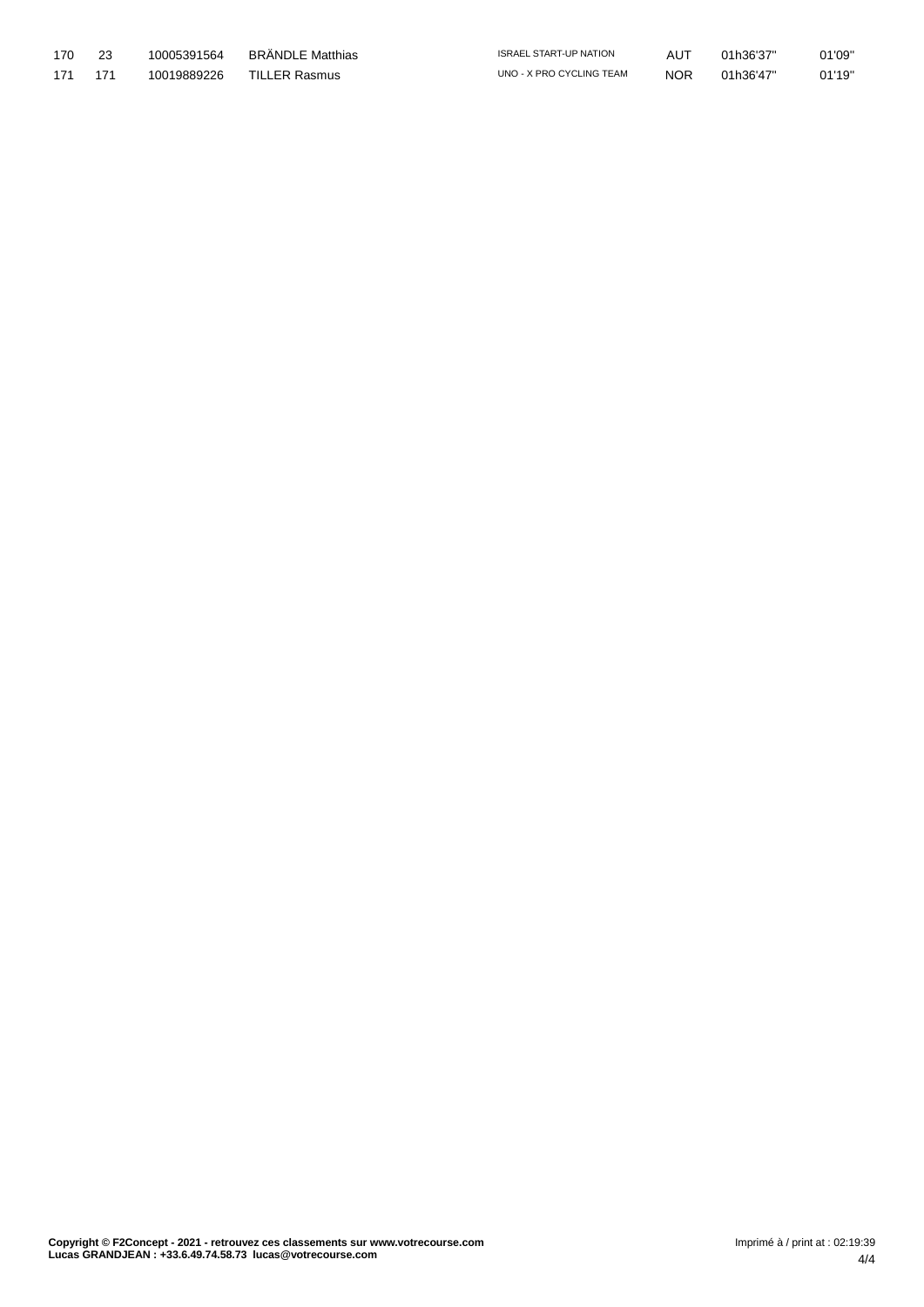| 170 | 10005391564 | BRÄNDLE Matthias | <b>ISRAEL START-UP NATION</b> | AUT        | 01h36'37" | 01'09" |
|-----|-------------|------------------|-------------------------------|------------|-----------|--------|
| 171 | 10019889226 | TILLER Rasmus    | UNO - X PRO CYCLING TEAM      | <b>NOR</b> | 01h36'47" | 01'19" |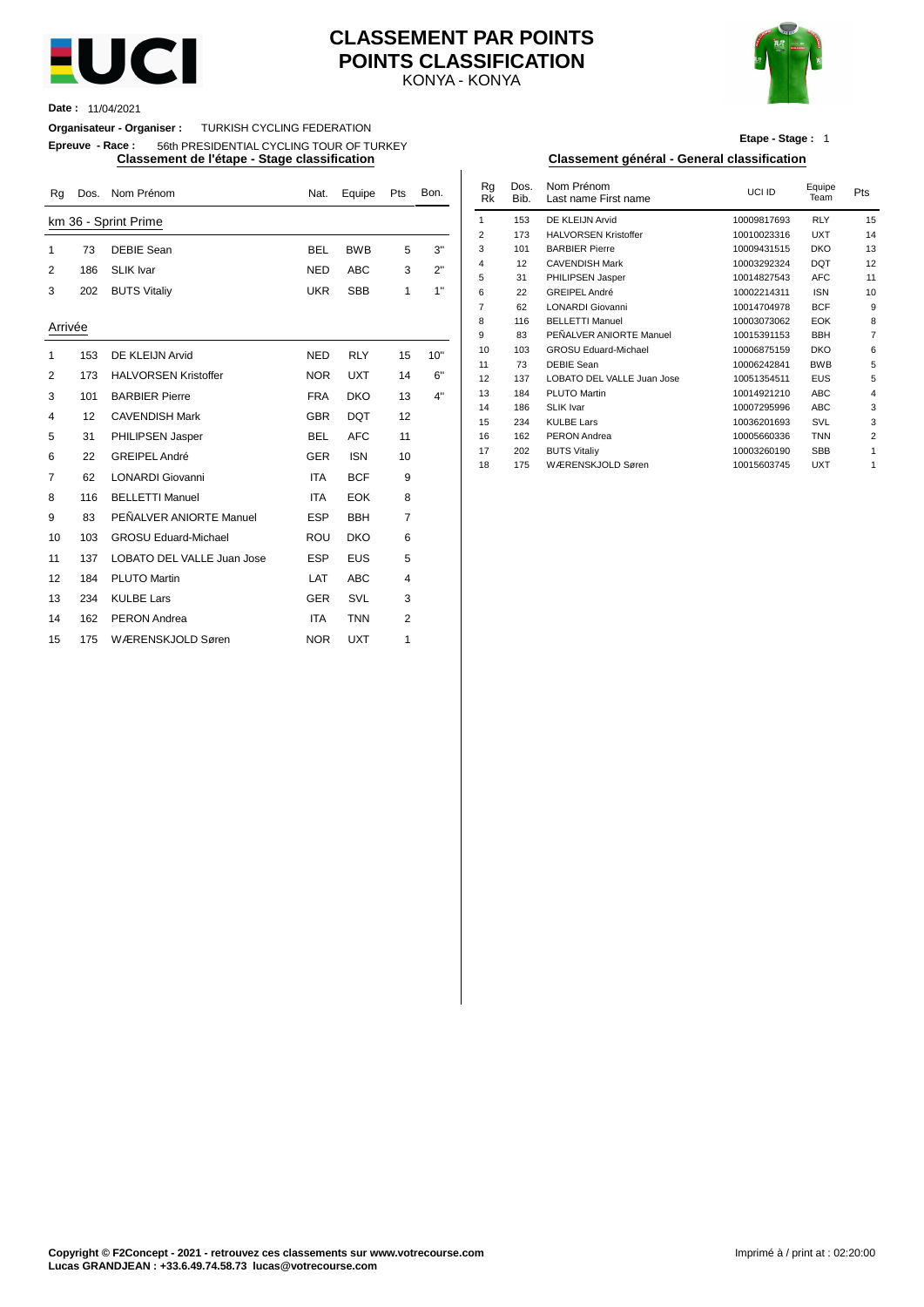

## KONYA - KONYA **CLASSEMENT PAR POINTS POINTS CLASSIFICATION**



**Date :** 11/04/2021

**Organisateur - Organiser :** TURKISH CYCLING FEDERATION

**Epreuve - Race :** 56th PRESIDENTIAL CYCLING TOUR OF TURKEY

| Rq      | Dos. | Nom Prénom                  | Nat.       | Equipe     | Pts            | Bon. | Rg<br><b>Rk</b> | Dos.<br>Bib. | Nom Prénom<br>Last name First name | UCI ID                     | Equipe<br>Team           | Pts            |
|---------|------|-----------------------------|------------|------------|----------------|------|-----------------|--------------|------------------------------------|----------------------------|--------------------------|----------------|
|         |      | km 36 - Sprint Prime        |            |            |                |      | $\mathbf{1}$    | 153          | DE KLEIJN Arvid                    | 10009817693                | <b>RLY</b>               | 15             |
|         |      |                             |            |            |                |      | $\overline{2}$  | 173          | <b>HALVORSEN Kristoffer</b>        | 10010023316                | <b>UXT</b>               | 14             |
| 1       | 73   | <b>DEBIE Sean</b>           | <b>BEL</b> | <b>BWB</b> | 5              | 3"   | 3               | 101          | <b>BARBIER Pierre</b>              | 10009431515                | <b>DKO</b>               | 13             |
| 2       | 186  | <b>SLIK Ivar</b>            | <b>NED</b> | <b>ABC</b> | 3              | 2"   | $\overline{4}$  | 12           | <b>CAVENDISH Mark</b>              | 10003292324                | <b>DQT</b>               | 12             |
|         |      |                             |            |            |                |      | 5               | 31           | PHILIPSEN Jasper                   | 10014827543                | <b>AFC</b>               | 11             |
| 3       | 202  | <b>BUTS Vitaliy</b>         | <b>UKR</b> | <b>SBB</b> | $\mathbf{1}$   | 1"   | 6               | 22           | <b>GREIPEL André</b>               | 10002214311                | <b>ISN</b>               | 1 <sub>0</sub> |
|         |      |                             |            |            |                |      | $\overline{7}$  | 62           | <b>LONARDI Giovanni</b>            | 10014704978                | <b>BCF</b>               | ç              |
| Arrivée |      |                             |            |            |                |      | 8               | 116          | <b>BELLETTI Manuel</b>             | 10003073062                | EOK                      |                |
|         |      |                             |            |            |                |      | 9               | 83           | PEÑALVER ANIORTE Manuel            | 10015391153                | <b>BBH</b>               |                |
| -1      | 153  | DE KLEIJN Arvid             | <b>NED</b> | <b>RLY</b> | 15             | 10"  | 10              | 103          | <b>GROSU Eduard-Michael</b>        | 10006875159                | <b>DKO</b>               |                |
| 2       | 173  | <b>HALVORSEN Kristoffer</b> | <b>NOR</b> | <b>UXT</b> | 14             | 6"   | 11              | 73           | <b>DEBIE Sean</b>                  | 10006242841                | <b>BWB</b>               |                |
|         |      |                             |            |            |                |      | 12              | 137          | LOBATO DEL VALLE Juan Jose         | 10051354511                | <b>EUS</b>               |                |
| 3       | 101  | <b>BARBIER Pierre</b>       | <b>FRA</b> | <b>DKO</b> | 13             | 4"   | 13<br>14        | 184<br>186   | PLUTO Martin<br><b>SLIK Ivar</b>   | 10014921210<br>10007295996 | <b>ABC</b><br><b>ABC</b> |                |
| 4       | 12   | <b>CAVENDISH Mark</b>       | <b>GBR</b> | <b>DQT</b> | 12             |      | 15              | 234          | <b>KULBE Lars</b>                  | 10036201693                | SVL                      |                |
| 5       | 31   | PHILIPSEN Jasper            | <b>BEL</b> | <b>AFC</b> | 11             |      | 16              | 162          | PERON Andrea                       | 10005660336                | <b>TNN</b>               |                |
|         |      |                             |            |            |                |      | 17              | 202          | <b>BUTS Vitaliy</b>                | 10003260190                | <b>SBB</b>               |                |
| 6       | 22   | <b>GREIPEL André</b>        | <b>GER</b> | <b>ISN</b> | 10             |      | 18              | 175          | WÆRENSKJOLD Søren                  | 10015603745                | <b>UXT</b>               |                |
| 7       | 62   | <b>LONARDI Giovanni</b>     | <b>ITA</b> | <b>BCF</b> | 9              |      |                 |              |                                    |                            |                          |                |
| 8       | 116  | <b>BELLETTI Manuel</b>      | <b>ITA</b> | <b>EOK</b> | 8              |      |                 |              |                                    |                            |                          |                |
| 9       | 83   | PEÑALVER ANIORTE Manuel     | <b>ESP</b> | <b>BBH</b> | $\overline{7}$ |      |                 |              |                                    |                            |                          |                |
| 10      | 103  | <b>GROSU Eduard-Michael</b> | <b>ROU</b> | <b>DKO</b> | 6              |      |                 |              |                                    |                            |                          |                |
| 11      | 137  | LOBATO DEL VALLE Juan Jose  | <b>ESP</b> | <b>EUS</b> | 5              |      |                 |              |                                    |                            |                          |                |
| 12      | 184  | <b>PLUTO Martin</b>         | LAT        | <b>ABC</b> | 4              |      |                 |              |                                    |                            |                          |                |
| 13      | 234  | <b>KULBE Lars</b>           | <b>GER</b> | SVL        | 3              |      |                 |              |                                    |                            |                          |                |
| 14      | 162  | <b>PERON</b> Andrea         | <b>ITA</b> | <b>TNN</b> | $\overline{2}$ |      |                 |              |                                    |                            |                          |                |
| 15      | 175  | WÆRENSKJOLD Søren           | <b>NOR</b> | <b>UXT</b> | 1              |      |                 |              |                                    |                            |                          |                |
|         |      |                             |            |            |                |      |                 |              |                                    |                            |                          |                |

**Etape - Stage :** 1

#### **Classement de l'étape - Stage classification Classement général - General classification**

| Nat.       | Equipe     | Pts | Bon. | Rg<br><b>Rk</b> | Dos.<br>Bib. | Nom Prénom<br>Last name First name | UCI ID      | Equipe<br>Team | Pts            |
|------------|------------|-----|------|-----------------|--------------|------------------------------------|-------------|----------------|----------------|
|            |            |     |      | 1               | 153          | DE KLEIJN Arvid                    | 10009817693 | <b>RLY</b>     | 15             |
|            |            |     |      | $\overline{2}$  | 173          | <b>HALVORSEN Kristoffer</b>        | 10010023316 | <b>UXT</b>     | 14             |
| BEL        | <b>BWB</b> | 5   | 3"   | 3               | 101          | <b>BARBIER Pierre</b>              | 10009431515 | <b>DKO</b>     | 13             |
| NED        | <b>ABC</b> | 3   | 2"   | 4               | 12           | <b>CAVENDISH Mark</b>              | 10003292324 | <b>DQT</b>     | 12             |
|            |            |     |      | 5               | 31           | PHILIPSEN Jasper                   | 10014827543 | <b>AFC</b>     | 11             |
| UKR.       | <b>SBB</b> | 1   | 1"   | 6               | 22           | GREIPEL André                      | 10002214311 | <b>ISN</b>     | 10             |
|            |            |     |      | 7               | 62           | <b>LONARDI Giovanni</b>            | 10014704978 | <b>BCF</b>     | 9              |
|            |            |     |      | 8               | 116          | <b>BELLETTI Manuel</b>             | 10003073062 | <b>EOK</b>     | 8              |
|            |            |     |      | 9               | 83           | PEÑALVER ANIORTE Manuel            | 10015391153 | <b>BBH</b>     | 7              |
| NED        | <b>RLY</b> | 15  | 10"  | 10              | 103          | <b>GROSU Eduard-Michael</b>        | 10006875159 | <b>DKO</b>     | 6              |
|            |            |     |      | 11              | 73           | <b>DEBIE Sean</b>                  | 10006242841 | <b>BWB</b>     | 5              |
| <b>NOR</b> | <b>UXT</b> | 14  | 6"   | 12              | 137          | LOBATO DEL VALLE Juan Jose         | 10051354511 | <b>EUS</b>     | 5              |
| FRA        | <b>DKO</b> | 13  | 4"   | 13              | 184          | PLUTO Martin                       | 10014921210 | <b>ABC</b>     | $\overline{4}$ |
|            |            |     |      | 14              | 186          | <b>SLIK Ivar</b>                   | 10007295996 | <b>ABC</b>     | 3              |
| <b>GBR</b> | <b>DQT</b> | 12  |      | 15              | 234          | <b>KULBE Lars</b>                  | 10036201693 | SVL            | 3              |
| BEL        | <b>AFC</b> | 11  |      | 16              | 162          | <b>PERON</b> Andrea                | 10005660336 | <b>TNN</b>     | $\overline{2}$ |
| GER        | <b>ISN</b> | 10  |      | 17              | 202          | <b>BUTS Vitaliy</b>                | 10003260190 | <b>SBB</b>     | 1              |
|            |            |     |      | 18              | 175          | WÆRENSKJOLD Søren                  | 10015603745 | <b>UXT</b>     | 1              |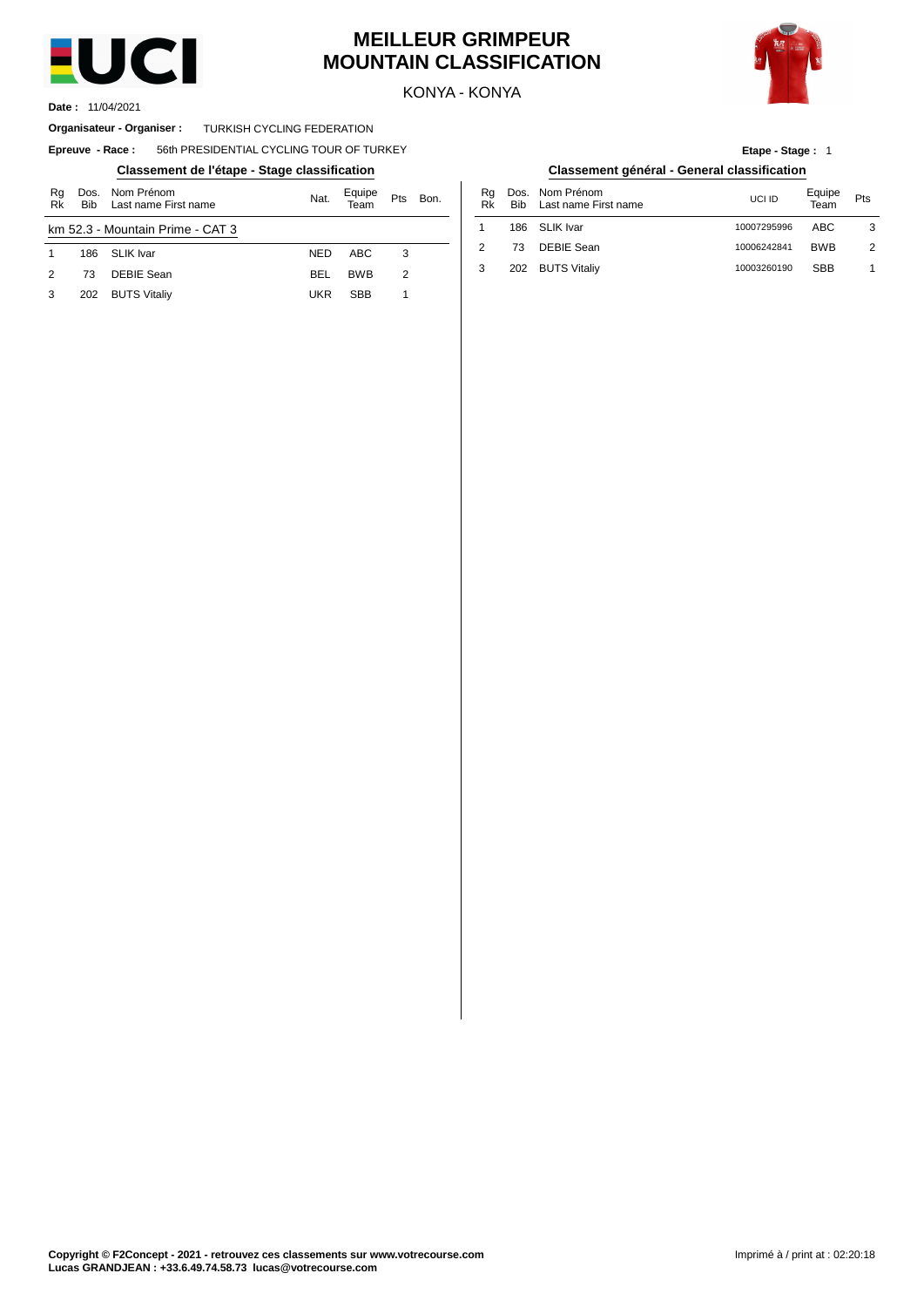

# **MEILLEUR GRIMPEUR MOUNTAIN CLASSIFICATION**



KONYA - KONYA

11/04/2021 **Date :**

#### **Organisateur - Organiser : TURKISH CYCLING FEDERATION**

#### $E$ preuve  $-$  **Race** : 56th PRESIDENTIAL CYCLING TOUR OF TURKEY

# **Classement de l'étape - Stage classification Classement général - General classification**

| Rg<br>Rk | Dos.<br><b>Bib</b> | Nom Prénom<br>Last name First name | Nat.       | Equipe<br>Геаm | Pts | Bon. | Rg<br>Rk       | Dos<br><b>Bib</b> |
|----------|--------------------|------------------------------------|------------|----------------|-----|------|----------------|-------------------|
|          |                    | km 52.3 - Mountain Prime - CAT 3   |            |                |     |      |                | 186               |
|          | 186                | <b>SLIK Ivar</b>                   | <b>NFD</b> | ABC            | 3   |      | $\overline{2}$ | 73                |
|          | 73                 | DEBIE Sean                         | <b>BEL</b> | <b>BWB</b>     | 2   |      | 3              | 202               |
|          | 202                | <b>BUTS Vitaliy</b>                | <b>UKR</b> | <b>SBB</b>     |     |      |                |                   |

| Etape - Stage: 1                         |  |
|------------------------------------------|--|
| comont gónóral - Gonoral classification: |  |

| Bon. | Ra<br>Rk | Bib | Dos. Nom Prénom<br>Last name First name | UCI ID      | Equipe<br>Team | Pts           |
|------|----------|-----|-----------------------------------------|-------------|----------------|---------------|
|      |          |     | 186 SLIK Ivar                           | 10007295996 | ABC.           | 3             |
|      |          | 73  | DEBIE Sean                              | 10006242841 | <b>BWB</b>     | $\mathcal{P}$ |
|      |          |     | 202 BUTS Vitaliy                        | 10003260190 | <b>SBB</b>     |               |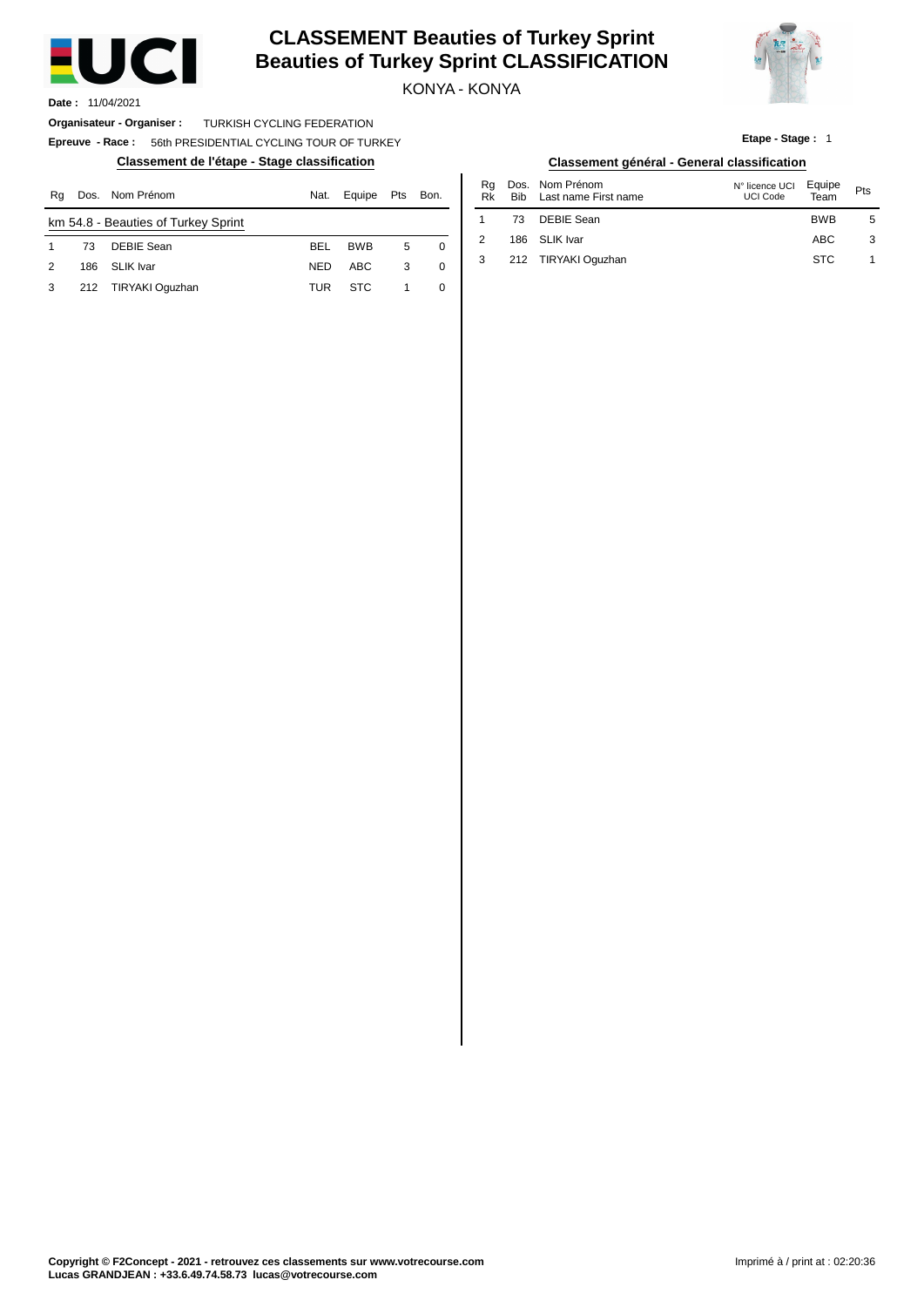

# **CLASSEMENT Beauties of Turkey Sprint Beauties of Turkey Sprint CLASSIFICATION**

KONYA - KONYA



**Etape - Stage :** 1

**Date :** 11/04/2021

**Organisateur - Organiser :** TURKISH CYCLING FEDERATION

**Epreuve - Race :** 56th PRESIDENTIAL CYCLING TOUR OF TURKEY

| Rq |     | Dos. Nom Prénom                     | Nat.       | Equipe     | Pts | Bon. | Ra<br>Rk | Dos.<br>Bib | Nom Prénom<br>Last name First name | N° licence UCI<br>UCI Code | Equipe<br>Team | Pts |
|----|-----|-------------------------------------|------------|------------|-----|------|----------|-------------|------------------------------------|----------------------------|----------------|-----|
|    |     | km 54.8 - Beauties of Turkey Sprint |            |            |     |      |          |             | DEBIE Sean                         |                            | <b>BWB</b>     | 5   |
|    | 73  | <b>DEBIE Sean</b>                   | <b>BEL</b> | <b>BWB</b> | 5   |      |          | 186         | SLIK Ivar                          |                            | ABC            | G   |
| 2  | 186 | <b>SLIK Ivar</b>                    | <b>NED</b> | <b>ABC</b> | 3   |      |          | 212         | TIRYAKI Oguzhan                    |                            | <b>STC</b>     |     |
| 3  | 212 | TIRYAKI Oguzhan                     | TUR        | <b>STC</b> |     |      |          |             |                                    |                            |                |     |

#### **Classement de l'étape - Stage classification Classement général - General classification**

| Nat. | Equipe     | <b>Pts</b> | Bon.     | Ra<br>Rk | <b>Bib</b> | Dos. Nom Prénom<br>Last name First name | N° licence UCI<br>UCI Code | Equipe<br>Team | Pts |
|------|------------|------------|----------|----------|------------|-----------------------------------------|----------------------------|----------------|-----|
|      |            |            |          |          | 73         | DEBIE Sean                              |                            | <b>BWB</b>     | 5   |
| BEL  | <b>BWB</b> | 5          | $\Omega$ | 2        |            | 186 SLIK Ivar                           |                            | <b>ABC</b>     | 3   |
| NED  | <b>ABC</b> |            | 0        |          |            | 212 TIRYAKI Oguzhan                     |                            | <b>STC</b>     |     |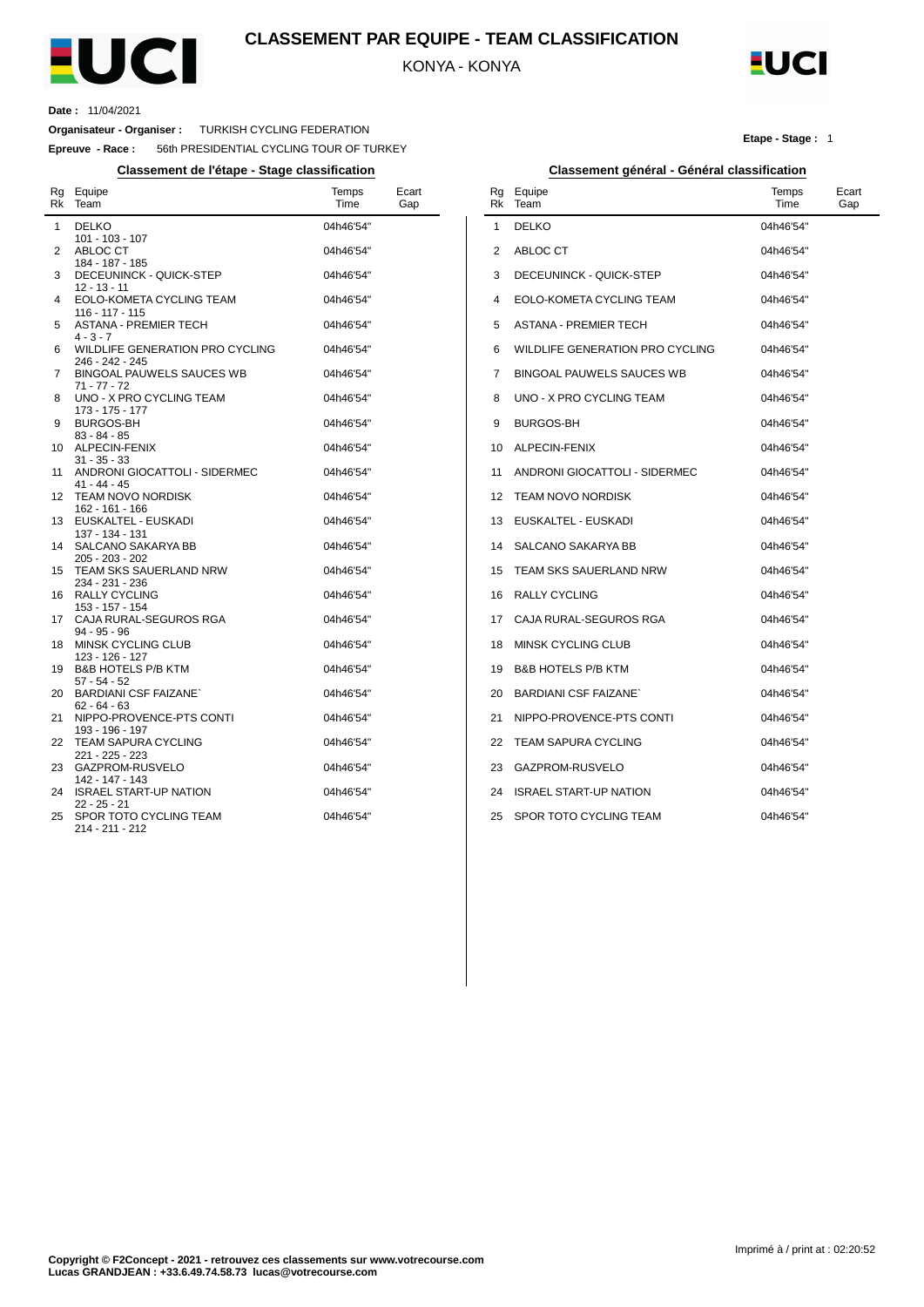

## **CLASSEMENT PAR EQUIPE - TEAM CLASSIFICATION**

KONYA - KONYA

1

3



#### **Date :** 11/04/2021

**Organisateur - Organiser :** TURKISH CYCLING FEDERATION

**Epreuve - Race :** 56th PRESIDENTIAL CYCLING TOUR OF TURKEY

| Rg<br>Rk     | Equipe<br>Team                                                    | Temps<br>Time | Ecart<br>Gap |
|--------------|-------------------------------------------------------------------|---------------|--------------|
| $\mathbf{1}$ | <b>DELKO</b>                                                      | 04h46'54"     |              |
| 2            | 101 - 103 - 107<br>ABLOC CT                                       | 04h46'54"     |              |
|              | 184 - 187 - 185                                                   |               |              |
| 3            | DECEUNINCK - QUICK-STEP                                           | 04h46'54"     |              |
| 4            | 12 - 13 - 11<br>EOLO-KOMETA CYCLING TEAM<br>116 - 117 - 115       | 04h46'54"     |              |
| 5            | <b>ASTANA - PREMIER TECH</b>                                      | 04h46'54"     |              |
| 6            | $4 - 3 - 7$<br>WILDLIFE GENERATION PRO CYCLING<br>246 - 242 - 245 | 04h46'54"     |              |
| 7            | BINGOAL PAUWELS SAUCES WB<br>$71 - 77 - 72$                       | 04h46'54"     |              |
| 8            | UNO - X PRO CYCLING TEAM<br>173 - 175 - 177                       | 04h46'54"     |              |
| 9            | <b>BURGOS-BH</b>                                                  | 04h46'54"     |              |
| 10           | $83 - 84 - 85$<br>ALPECIN-FENIX                                   | 04h46'54"     |              |
| 11           | $31 - 35 - 33$<br>ANDRONI GIOCATTOLI - SIDERMEC                   | 04h46'54"     |              |
| 12           | $41 - 44 - 45$<br><b>TEAM NOVO NORDISK</b>                        | 04h46'54"     |              |
| 13           | 162 - 161 - 166<br>EUSKALTEL - EUSKADI                            | 04h46'54"     |              |
|              | 137 - 134 - 131                                                   |               |              |
| 14           | SALCANO SAKARYA BB<br>$205 - 203 - 202$                           | 04h46'54"     |              |
| 15           | TEAM SKS SAUERLAND NRW<br>234 - 231 - 236                         | 04h46'54"     |              |
| 16           | <b>RALLY CYCLING</b>                                              | 04h46'54"     |              |
| 17           | 153 - 157 - 154<br>CAJA RURAL-SEGUROS RGA                         | 04h46'54"     |              |
| 18           | 94 - 95 - 96<br>MINSK CYCLING CLUB                                | 04h46'54"     |              |
| 19           | 123 - 126 - 127<br><b>B&amp;B HOTELS P/B KTM</b>                  | 04h46'54"     |              |
|              | $57 - 54 - 52$                                                    |               |              |
| 20           | <b>BARDIANI CSF FAIZANE</b><br>$62 - 64 - 63$                     | 04h46'54"     |              |
| 21           | NIPPO-PROVENCE-PTS CONTI<br>193 - 196 - 197                       | 04h46'54"     |              |
| 22           | <b>TEAM SAPURA CYCLING</b><br>221 - 225 - 223                     | 04h46'54"     |              |
| 23           | GAZPROM-RUSVELO                                                   | 04h46'54"     |              |
| 24           | 142 - 147 - 143<br><b>ISRAEL START-UP NATION</b>                  | 04h46'54"     |              |
| 25           | $22 - 25 - 21$<br>SPOR TOTO CYCLING TEAM<br>214 - 211 - 212       | 04h46'54"     |              |
|              |                                                                   |               |              |

#### **Etape - Stage :** 1

#### **Classement de l'étape - Stage classification Classement général - Général classification** Rg Rk Equipe Team Temps Time Ecart Gap 2 ABLOC CT 4 5 6 7 8 UNO - X PRO CYCLING TEAM 9 10 ALPECIN-FENIX 11 ANDRONI GIOCATTOLI - SIDERMEC 12 TEAM NOVO NORDISK 13 EUSKALTEL - EUSKADI 14 SALCANO SAKARYA BB DELKO DECEUNINCK - QUICK-STEP EOLO-KOMETA CYCLING TEAM ASTANA - PREMIER TECH WILDLIFE GENERATION PRO CYCLING BINGOAL PAUWELS SAUCES WB BURGOS-BH 04h46'54'' 04h46'54'' 04h46'54'' 04h46'54'' 04h46'54'' 04h46'54'' 04h46'54'' 04h46'54'' 04h46'54'' 04h46'54'' 04h46'54'' 04h46'54'' 04h46'54'' 04h46'54''

| $15 -$ | TEAM SKS SAUERLAND NRW        | 04h46'54" |
|--------|-------------------------------|-----------|
| 16     | <b>RALLY CYCLING</b>          | 04h46'54" |
|        | 17 CAJA RURAL-SEGUROS RGA     | 04h46'54" |
| 18     | MINSK CYCLING CLUB            | 04h46'54" |
| 19     | <b>B&amp;B HOTELS P/B KTM</b> | 04h46'54" |
| 20     | <b>BARDIANI CSF FAIZANE</b>   | 04h46'54" |
|        | 21 NIPPO-PROVENCE-PTS CONTI   | 04h46'54" |
|        | 22 TEAM SAPURA CYCLING        | 04h46'54" |
| 23     | GAZPROM-RUSVELO               | 04h46'54" |
| 24     | <b>ISRAEL START-UP NATION</b> | 04h46'54" |

25 SPOR TOTO CYCLING TEAM 04h46'54''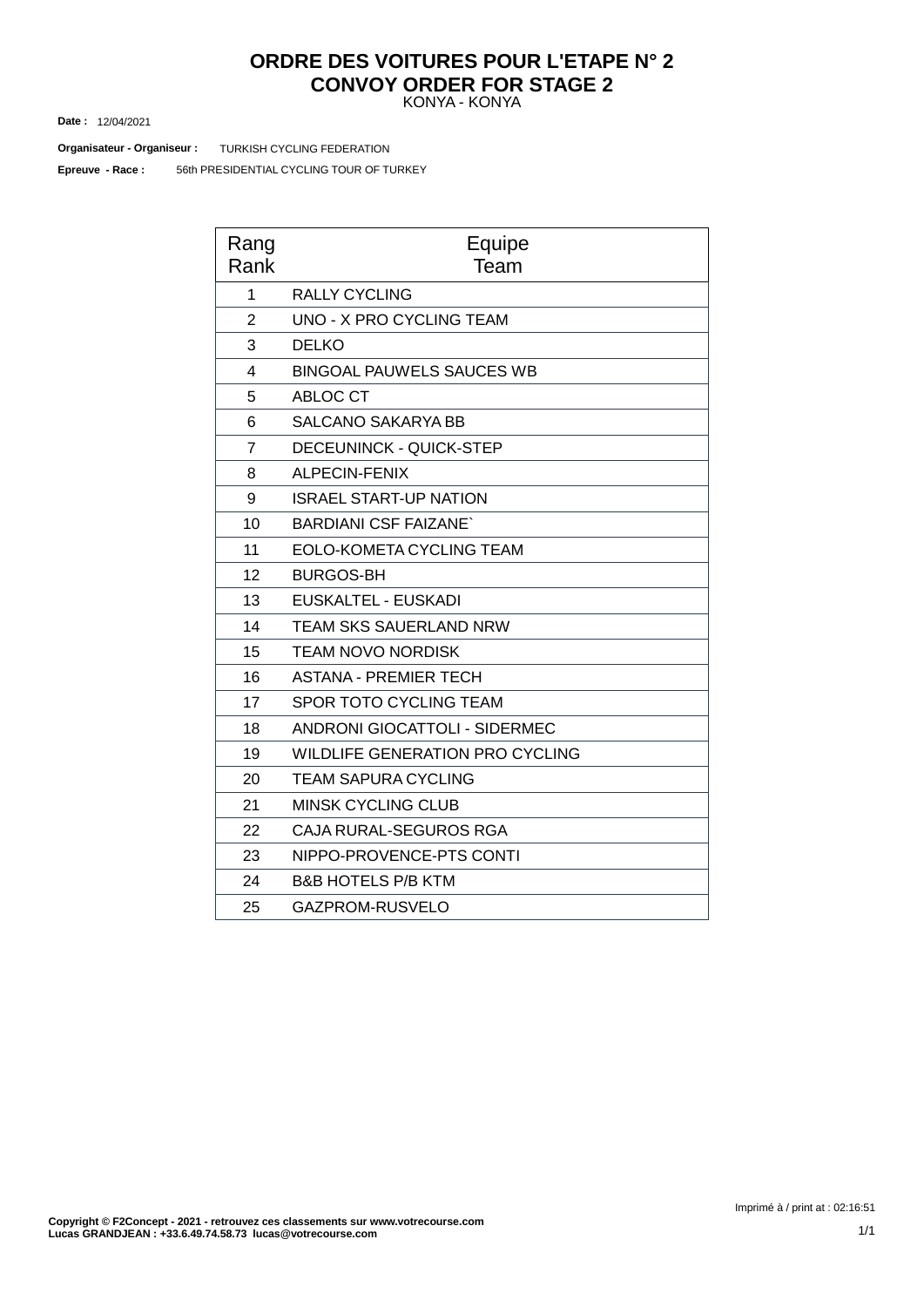## KONYA - KONYA **ORDRE DES VOITURES POUR L'ETAPE N° 2 CONVOY ORDER FOR STAGE 2**

12/04/2021 **Date :**

**Organisateur - Organiseur : TURKISH CYCLING FEDERATION** 

56th PRESIDENTIAL CYCLING TOUR OF TURKEY **Epreuve - Race :**

| Rang<br>Rank   | Equipe<br>Team                         |
|----------------|----------------------------------------|
| 1              | <b>RALLY CYCLING</b>                   |
| $\overline{2}$ | <b>UNO - X PRO CYCLING TEAM</b>        |
| 3              | <b>DELKO</b>                           |
| 4              | <b>BINGOAL PAUWELS SAUCES WB</b>       |
| 5              | ABLOC CT                               |
| 6              | <b>SALCANO SAKARYA BB</b>              |
| $\overline{7}$ | <b>DECEUNINCK - QUICK-STEP</b>         |
| 8              | <b>ALPECIN-FENIX</b>                   |
| 9              | <b>ISRAEL START-UP NATION</b>          |
| 10             | <b>BARDIANI CSF FAIZANE</b>            |
| 11             | EOLO-KOMETA CYCLING TEAM               |
| 12             | <b>BURGOS-BH</b>                       |
| 13             | EUSKALTEL - EUSKADI                    |
| 14             | <b>TEAM SKS SAUERLAND NRW</b>          |
| 15             | <b>TEAM NOVO NORDISK</b>               |
| 16             | <b>ASTANA - PREMIER TECH</b>           |
| 17             | SPOR TOTO CYCLING TEAM                 |
| 18             | <b>ANDRONI GIOCATTOLI - SIDERMEC</b>   |
| 19             | <b>WILDLIFE GENERATION PRO CYCLING</b> |
| 20             | <b>TEAM SAPURA CYCLING</b>             |
| 21             | <b>MINSK CYCLING CLUB</b>              |
| 22             | CAJA RURAL-SEGUROS RGA                 |
| 23             | NIPPO-PROVENCE-PTS CONTI               |
| 24             | <b>B&amp;B HOTELS P/B KTM</b>          |
| 25             | GAZPROM-RUSVELO                        |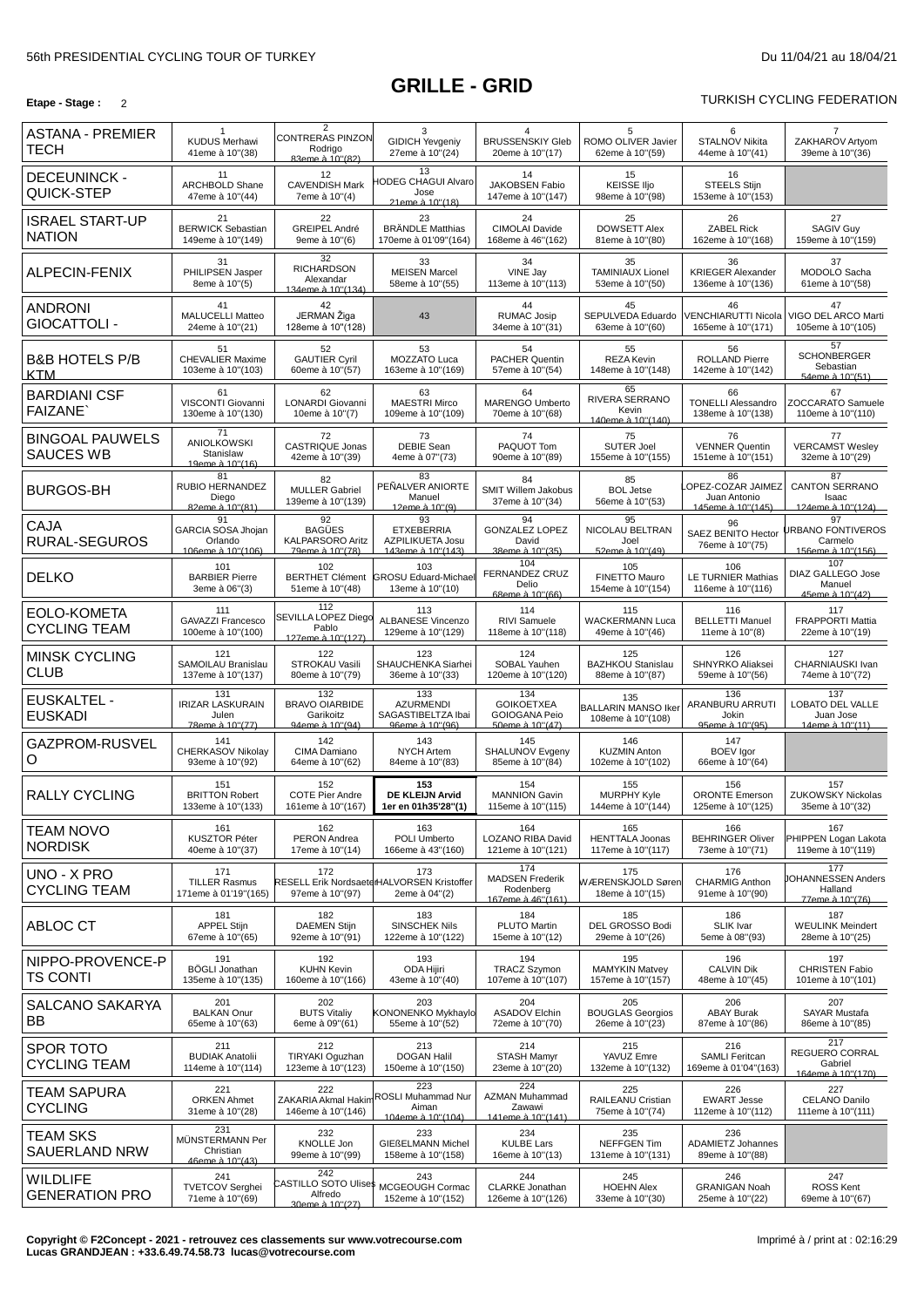## **GRILLE - GRID**

## **Etape** - Stage : 2 2

| ASTANA - PREMIER<br>TECH                   | $\mathbf{1}$<br><b>KUDUS Merhawi</b><br>41eme à 10"(38)                | $\overline{2}$<br><b>CONTRERAS PINZON</b><br>Rodrigo<br>83eme à 10"(82). | 3<br><b>GIDICH Yevgeniy</b><br>27eme à 10"(24)                     | 4<br><b>BRUSSENSKIY Gleb</b><br>20eme à 10"(17)                     | 5<br>ROMO OLIVER Javier<br>62eme à 10"(59)             | 6<br><b>STALNOV Nikita</b><br>44eme à 10"(41)                | 7<br>ZAKHAROV Artyom<br>39eme à 10"(36)                        |
|--------------------------------------------|------------------------------------------------------------------------|--------------------------------------------------------------------------|--------------------------------------------------------------------|---------------------------------------------------------------------|--------------------------------------------------------|--------------------------------------------------------------|----------------------------------------------------------------|
| <b>DECEUNINCK -</b><br>QUICK-STEP          | 11<br>ARCHBOLD Shane<br>47eme à 10"(44)                                | 12<br><b>CAVENDISH Mark</b><br>7eme à 10"(4)                             | 13<br><b>IODEG CHAGUI Alvaro</b><br>Jose<br>21eme à 10"(18)        | 14<br>JAKOBSEN Fabio<br>147eme à 10"(147)                           | 15<br><b>KEISSE IIjo</b><br>98eme à 10"(98)            | 16<br><b>STEELS Stijn</b><br>153eme à 10"(153)               |                                                                |
| <b>ISRAEL START-UP</b><br><b>NATION</b>    | 21<br><b>BERWICK Sebastian</b><br>149eme à 10"(149)                    | 22<br>GREIPEL André<br>9eme à 10"(6)                                     | 23<br><b>BRÄNDLE Matthias</b><br>170eme à 01'09"(164)              | 24<br>CIMOLAI Davide<br>168eme à 46"(162)                           | 25<br><b>DOWSETT Alex</b><br>81eme à 10"(80)           | 26<br><b>ZABEL Rick</b><br>162eme à 10"(168)                 | 27<br><b>SAGIV Guy</b><br>159eme à 10"(159)                    |
| ALPECIN-FENIX                              | 31<br>PHILIPSEN Jasper<br>8eme à 10"(5)                                | 32<br><b>RICHARDSON</b><br>Alexandar<br>134eme à 10"(134)                | 33<br><b>MEISEN Marcel</b><br>58eme à 10"(55)                      | 34<br>VINE Jay<br>113eme à 10"(113)                                 | 35<br><b>TAMINIAUX Lionel</b><br>53eme à 10"(50)       | 36<br><b>KRIEGER Alexander</b><br>136eme à 10"(136)          | 37<br>MODOLO Sacha<br>61eme à 10"(58)                          |
| ANDRONI<br>GIOCATTOLI -                    | 41<br><b>MALUCELLI Matteo</b><br>24eme à 10"(21)                       | 42<br>JERMAN Žiga<br>128eme à 10"(128)                                   | 43                                                                 | 44<br><b>RUMAC Josip</b><br>34eme à 10"(31)                         | 45<br>SEPULVEDA Eduardo<br>63eme à 10"(60)             | 46<br><b>VENCHIARUTTI Nicola</b><br>165eme à 10"(171)        | 47<br>VIGO DEL ARCO Marti<br>105eme à 10"(105)                 |
| <b>B&amp;B HOTELS P/B</b><br>KTM           | 51<br><b>CHEVALIER Maxime</b><br>103eme à 10"(103)                     | 52<br><b>GAUTIER Cyril</b><br>60eme à 10"(57)                            | 53<br>MOZZATO Luca<br>163eme à 10"(169)                            | 54<br>PACHER Quentin<br>57eme à 10"(54)                             | 55<br><b>REZA Kevin</b><br>148eme à 10"(148)           | 56<br><b>ROLLAND Pierre</b><br>142eme à 10"(142)             | 57<br><b>SCHONBERGER</b><br>Sebastian<br>54eme à 10"(51)       |
| <b>BARDIANI CSF</b><br><b>FAIZANE</b>      | 61<br>VISCONTI Giovanni<br>130eme à 10"(130)                           | 62<br>LONARDI Giovanni<br>10eme à 10"(7)                                 | 63<br><b>MAESTRI Mirco</b><br>109eme à 10"(109)                    | 64<br>MARENGO Umberto<br>70eme à 10"(68)                            | 65<br>RIVERA SERRANO<br>Kevin<br>140eme à 10"(140)     | 66<br><b>TONELLI Alessandro</b><br>138eme à 10"(138)         | 67<br>ZOCCARATO Samuele<br>110eme à 10"(110)                   |
| <b>BINGOAL PAUWELS</b><br><b>SAUCES WB</b> | $\overline{71}$<br><b>ANIOLKOWSKI</b><br>Stanislaw<br>19eme à 10"(16). | 72<br><b>CASTRIQUE Jonas</b><br>42eme à 10"(39)                          | 73<br><b>DEBIE Sean</b><br>4eme à 07"(73)                          | 74<br>PAQUOT Tom<br>90eme à 10"(89)                                 | 75<br><b>SUTER Joel</b><br>155eme à 10"(155)           | 76<br><b>VENNER Quentin</b><br>151eme à 10"(151)             | 77<br><b>VERCAMST Wesley</b><br>32eme à 10"(29)                |
| <b>BURGOS-BH</b>                           | 81<br>RUBIO HERNANDEZ<br>Diego<br>82eme à 10"(81).                     | 82<br><b>MULLER Gabriel</b><br>139eme à 10"(139)                         | 83<br>PEÑALVER ANIORTE<br>Manuel<br>12eme à 10"(9).                | 84<br><b>SMIT Willem Jakobus</b><br>37eme à 10"(34)                 | 85<br><b>BOL Jetse</b><br>56eme à 10"(53)              | 86<br>OPEZ-COZAR JAIMEZ<br>Juan Antonio<br>145eme à 10"(145) | 87<br><b>CANTON SERRANO</b><br>Isaac<br>124eme à 10"(124)      |
| <b>CAJA</b><br>RURAL-SEGUROS               | 91<br>GARCIA SOSA Jhojan<br>Orlando<br>106eme à 10"(106)               | 92<br><b>BAGÜES</b><br><b>KALPARSORO Aritz</b><br>79eme à 10"(78).       | 93<br><b>ETXEBERRIA</b><br>AZPILIKUETA Josu<br>143eme à 10"(143)   | 94<br><b>GONZALEZ LOPEZ</b><br>David<br>38eme à 10"(35).            | 95<br>NICOLAU BELTRAN<br>Joel<br>52eme à 10"(49)       | 96<br><b>SAEZ BENITO Hector</b><br>76eme à 10"(75)           | 97<br><b>JRBANO FONTIVEROS</b><br>Carmelo<br>156eme à 10"(156) |
| <b>DELKO</b>                               | 101<br><b>BARBIER Pierre</b><br>3eme à 06"(3)                          | 102<br><b>BERTHET Clément</b><br>51eme à 10"(48)                         | 103<br><b>GROSU Eduard-Michae</b><br>13eme à 10"(10)               | 104<br><b>FERNANDEZ CRUZ</b><br>Delio<br>68eme à 10"(66).           | 105<br><b>FINETTO Mauro</b><br>154eme à 10"(154)       | 106<br><b>LE TURNIER Mathias</b><br>116eme à 10"(116)        | 107<br>DIAZ GALLEGO Jose<br>Manuel<br>45eme à 10"(42).         |
| EOLO-KOMETA<br><b>CYCLING TEAM</b>         | 111<br><b>GAVAZZI Francesco</b><br>100eme à 10"(100)                   | 112<br>SEVILLA LOPEZ Diego<br>Pablo<br>127eme à 10"(127)                 | 113<br><b>ALBANESE Vincenzo</b><br>129eme à 10"(129)               | 114<br>RIVI Samuele<br>118eme à 10"(118)                            | 115<br><b>WACKERMANN Luca</b><br>49eme à 10"(46)       | 116<br><b>BELLETTI Manuel</b><br>11eme à 10"(8)              | 117<br>FRAPPORTI Mattia<br>22eme à 10"(19)                     |
| <b>MINSK CYCLING</b><br><b>CLUB</b>        | 121<br>SAMOILAU Branislau<br>137eme à 10"(137)                         | 122<br>STROKAU Vasili<br>80eme à 10"(79)                                 | 123<br>SHAUCHENKA Siarhei<br>36eme à 10"(33)                       | 124<br>SOBAL Yauhen<br>120eme à 10"(120)                            | 125<br><b>BAZHKOU Stanislau</b><br>88eme à 10"(87)     | 126<br>SHNYRKO Aliaksei<br>59eme à 10"(56)                   | 127<br>CHARNIAUSKI Ivan<br>74eme à 10"(72)                     |
| <b>EUSKALTEL -</b><br><b>EUSKADI</b>       | 131<br><b>IRIZAR LASKURAIN</b><br>Julen<br>78eme à 10"(77)             | 132<br><b>BRAVO OIARBIDE</b><br>Garikoitz<br>94eme à 10"(94).            | 133<br><b>AZURMENDI</b><br>SAGASTIBELTZA Ibai<br>96eme à 10"(96).  | 134<br><b>GOIKOETXEA</b><br><b>GOIOGANA Peio</b><br>50eme à 10"(47) | 135<br><b>BALLARIN MANSO Iker</b><br>108eme à 10"(108) | 136<br>ARANBURU ARRUTI<br>Jokin<br>95eme à 10"(95)           | 137<br>LOBATO DEL VALLE<br>Juan Jose<br>14eme à 10"(11)        |
| GAZPROM-RUSVEL<br>O                        | 141<br>CHERKASOV Nikolay<br>93eme à 10"(92)                            | 142<br>CIMA Damiano<br>64eme à 10"(62)                                   | 143<br><b>NYCH Artem</b><br>84eme à 10"(83)                        | 145<br>SHALUNOV Evgeny<br>85eme à 10"(84)                           | 146<br><b>KUZMIN Anton</b><br>102eme à 10"(102)        | 147<br><b>BOEV</b> laor<br>66eme à 10"(64)                   |                                                                |
| <b>RALLY CYCLING</b>                       | 151<br><b>BRITTON Robert</b><br>133eme à 10"(133)                      | 152<br><b>COTE Pier Andre</b><br>161eme à 10"(167)                       | 153<br>DE KLEIJN Arvid<br>1er en 01h35'28"(1)                      | 154<br><b>MANNION Gavin</b><br>115eme à 10"(115)                    | 155<br><b>MURPHY Kyle</b><br>144eme à 10"(144)         | 156<br><b>ORONTE Emerson</b><br>125eme à 10"(125)            | 157<br><b>ZUKOWSKY Nickolas</b><br>35eme à 10"(32)             |
| <b>TEAM NOVO</b><br><b>NORDISK</b>         | 161<br><b>KUSZTOR Péter</b><br>40eme à 10"(37)                         | 162<br>PERON Andrea<br>17eme à 10"(14)                                   | 163<br>POLI Umberto<br>166eme à 43"(160)                           | 164<br>LOZANO RIBA David<br>121eme à 10"(121)                       | 165<br><b>HENTTALA Joonas</b><br>117eme à 10"(117)     | 166<br><b>BEHRINGER Oliver</b><br>73eme à 10"(71)            | 167<br>PHIPPEN Logan Lakota<br>119eme à 10"(119)               |
| UNO - X PRO<br><b>CYCLING TEAM</b>         | 171<br><b>TILLER Rasmus</b><br>171eme à 01'19"(165)                    | 172<br>97eme à 10"(97)                                                   | 173<br>RESELL Erik NordsaeterHALVORSEN Kristoffer<br>2eme à 04"(2) | 174<br><b>MADSEN Frederik</b><br>Rodenberg<br>167eme à 46"(161)     | 175<br>WÆRENSKJOLD Søren<br>18eme à 10"(15)            | 176<br><b>CHARMIG Anthon</b><br>91eme à 10"(90)              | 177<br><b>JOHANNESSEN Anders</b><br>Halland<br>77eme à 10"(76) |
| ABLOC CT                                   | 181<br><b>APPEL Stijn</b><br>67eme à 10"(65)                           | 182<br><b>DAEMEN Stijn</b><br>92eme à 10"(91)                            | 183<br><b>SINSCHEK Nils</b><br>122eme à 10"(122)                   | 184<br><b>PLUTO Martin</b><br>15eme à 10"(12)                       | 185<br><b>DEL GROSSO Bodi</b><br>29eme à 10"(26)       | 186<br>SLIK Ivar<br>5eme à 08"(93)                           | 187<br><b>WEULINK Meindert</b><br>28eme à 10"(25)              |
| NIPPO-PROVENCE-P<br><b>TS CONTI</b>        | 191<br>BÖGLI Jonathan<br>135eme à 10"(135)                             | 192<br><b>KUHN Kevin</b><br>160eme à 10"(166)                            | 193<br>ODA Hijiri<br>43eme à 10"(40)                               | 194<br><b>TRACZ Szymon</b><br>107eme à 10"(107)                     | 195<br><b>MAMYKIN Matvey</b><br>157eme à 10"(157)      | 196<br><b>CALVIN Dik</b><br>48eme à 10"(45)                  | 197<br><b>CHRISTEN Fabio</b><br>101eme à 10"(101)              |
| SALCANO SAKARYA<br>BB                      | 201<br><b>BALKAN Onur</b><br>65eme à 10"(63)                           | 202<br><b>BUTS Vitaliy</b><br>6eme à 09"(61)                             | 203<br>KONONENKO Mykhaylo<br>55eme à 10"(52)                       | 204<br><b>ASADOV Elchin</b><br>72eme à 10"(70)                      | 205<br><b>BOUGLAS Georgios</b><br>26eme à 10"(23)      | 206<br><b>ABAY Burak</b><br>87eme à 10"(86)                  | 207<br>SAYAR Mustafa<br>86eme à 10"(85)                        |
| <b>SPOR TOTO</b><br><b>CYCLING TEAM</b>    | 211<br><b>BUDIAK Anatolii</b><br>114eme à 10"(114)                     | 212<br>TIRYAKI Oguzhan<br>123eme à 10"(123)                              | 213<br><b>DOGAN Halil</b><br>150eme à 10"(150)                     | 214<br><b>STASH Mamyr</b><br>23eme à 10"(20)                        | 215<br>YAVUZ Emre<br>132eme à 10"(132)                 | 216<br><b>SAMLI Feritcan</b><br>169eme à 01'04"(163)         | 217<br>REGUERO CORRAL<br>Gabriel<br>164eme à 10"(170)          |
| <b>TEAM SAPURA</b><br><b>CYCLING</b>       | 221<br><b>ORKEN Ahmet</b><br>31eme à 10"(28)                           | 222<br>ZAKARIA Akmal Hakim<br>146eme à 10"(146)                          | 223<br>ROSLI Muhammad Nur<br>Aiman<br>104eme à 10"(104)            | 224<br><b>AZMAN Muhammad</b><br>Zawawi<br>141eme à 10"(141)         | 225<br>RAILEANU Cristian<br>75eme à 10"(74)            | 226<br><b>EWART Jesse</b><br>112eme à 10"(112)               | 227<br><b>CELANO Danilo</b><br>111eme à 10"(111)               |
| <b>TEAM SKS</b><br><b>SAUERLAND NRW</b>    | 231<br>MÜNSTERMANN Per<br>Christian<br>46eme à 10"(43).                | 232<br>KNOLLE Jon<br>99eme à 10"(99)                                     | 233<br><b>GIEßELMANN Michel</b><br>158eme à 10"(158)               | 234<br><b>KULBE Lars</b><br>16eme à 10"(13)                         | 235<br>NEFFGEN Tim<br>131eme à 10"(131)                | 236<br><b>ADAMIETZ Johannes</b><br>89eme à 10"(88)           |                                                                |
| <b>WILDLIFE</b><br><b>GENERATION PRO</b>   | 241<br><b>TVETCOV Serghei</b><br>71eme à 10"(69)                       | 242<br>CASTILLO SOTO Ulises<br>Alfredo<br>30eme à 10"(27)                | 243<br>MCGEOUGH Cormac<br>152eme à 10"(152)                        | 244<br><b>CLARKE Jonathan</b><br>126eme à 10"(126)                  | 245<br><b>HOEHN Alex</b><br>33eme à 10"(30)            | 246<br><b>GRANIGAN Noah</b><br>25eme à 10"(22)               | 247<br>ROSS Kent<br>69eme à 10"(67)                            |

**Copyright © F2Concept - 2021 - retrouvez ces classements sur www.votrecourse.com Lucas GRANDJEAN : +33.6.49.74.58.73 lucas@votrecourse.com**